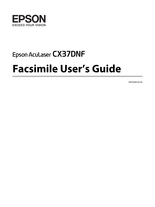

# Epson Aculaser CX37DNF **Facsimile User's Guide**

NPD4498-00 EN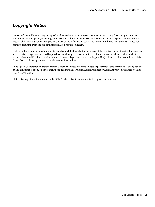# **Copyright Notice**

No part of this publication may be reproduced, stored in a retrieval system, or transmitted in any form or by any means, mechanical, photocopying, recording, or otherwise, without the prior written permission of Seiko Epson Corporation. No patent liability is assumed with respect to the use of the information contained herein. Neither is any liability assumed for damages resulting from the use of the information contained herein.

Neither Seiko Epson Corporation nor its affiliates shall be liable to the purchaser of this product or third parties for damages, losses, costs, or expenses incurred by purchaser or third parties as a result of: accident, misuse, or abuse of this product or unauthorized modifications, repairs, or alterations to this product, or (excluding the U.S.) failure to strictly comply with Seiko Epson Corporation's operating and maintenance instructions.

Seiko Epson Corporation and its affiliates shall not be liable against any damages or problems arising from the use of any options or any consumable products other than those designated as Original Epson Products or Epson Approved Products by Seiko Epson Corporation.

EPSON is a registered trademark and EPSON AcuLaser is a trademark of Seiko Epson Corporation.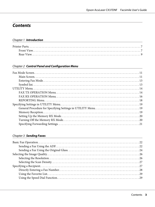# **Contents**

#### Chapter 1 **[Introduction](#page-6-0)**

#### Chapter 2 **[Control Panel and Configuration Menu](#page-10-0)**

### Chapter 3 **[Sending Faxes](#page-21-0)**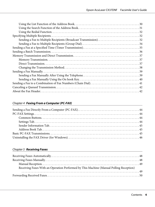### Chapter 4 **[Faxing From a Computer \(PC-FAX\)](#page-43-0)**

### Chapter 5 **[Receiving Faxes](#page-47-0)**

| Receiving Faxes With an Operation Performed by This Machine (Manual Polling Reception) |
|----------------------------------------------------------------------------------------|
|                                                                                        |
|                                                                                        |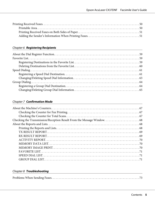# Chapter 6 **[Registering Recipients](#page-58-0)**

### Chapter 7 **[Confirmation Mode](#page-66-0)**

### Chapter 8 **[Troubleshooting](#page-72-0)**

|--|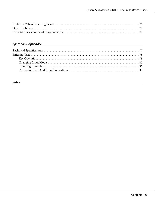# [Appendix A](#page-76-0) **Appendix**

<u> 1980 - Johann Barbara, martin amerikan basar da</u>

### **[Index](#page-83-0)**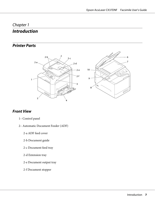# <span id="page-6-0"></span>Chapter 1

# **Introduction**

# **Printer Parts**





# **Front View**

- 1– Control panel
- 2– Automatic Document Feeder (ADF)
	- 2-a ADF feed cover
	- 2-b Document guide
	- 2-c Document feed tray
	- 2-d Extension tray
	- 2-e Document output tray
	- 2-f Document stopper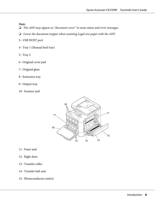#### *Note:*

- ❏ *The ADF may appear as "document cover" in some status and error messages.*
- ❏ *Lower the document stopper when scanning Legal-size paper with the ADF.*
- 3– USB HOST port
- 4– Tray 1 (Manual feed tray)
- 5– Tray 2
- 6– Original cover pad
- 7– Original glass
- 8– Extension tray
- 9– Output tray
- 10– Scanner unit



- 11– Fuser unit
- 12– Right door
- 13– Transfer roller
- 14– Transfer belt unit
- 15– Photoconductor unit(s)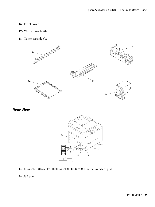#### <span id="page-8-0"></span>16– Front cover

- 17– Waste toner bottle
- 18– Toner cartridge(s)



**Rear View**



1– 10Base-T/100Base-TX/1000Base-T (IEEE 802.3) Ethernet interface port

### 2– USB port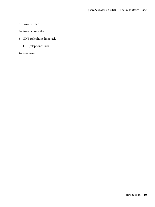- 3– Power switch
- 4– Power connection
- 5– LINE (telephone line) jack
- 6– TEL (telephone) jack
- 7– Rear cover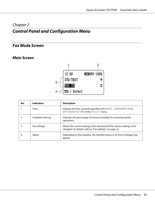# <span id="page-10-0"></span>Chapter 2 **Control Panel and Configuration Menu**

# **Fax Mode Screen**

# **Main Screen**



| No. | <b>Indication</b> | <b>Description</b>                                                                                                                    |
|-----|-------------------|---------------------------------------------------------------------------------------------------------------------------------------|
|     | Time              | Displays the time currently specified with ADMIN. MANAGEMENT/USER<br>SETTING/DATE&TIME in the UTILITY menu.                           |
|     | Available memory  | Indicates the percentage of memory available for scanning and fax<br>operations.                                                      |
|     | Fax settings      | Allows the current settings to be checked and the various settings to be<br>changed. For details, refer to "Fax settings" on page 12. |
|     | <b>Status</b>     | Depending on the situation, the machine status or an error message may<br>appear.                                                     |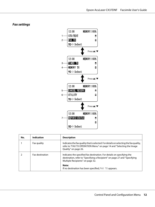#### <span id="page-11-0"></span>**Fax settings**



| No. | Indication             | <b>Description</b>                                                                                                                                                                      |  |
|-----|------------------------|-----------------------------------------------------------------------------------------------------------------------------------------------------------------------------------------|--|
|     | Fax quality            | Indicates the fax quality that is selected. For details on selecting the fax quality,<br>refer to "FAX TX OPERATION Menu" on page 14 and "Selecting the Image<br>Quality" on page 26.   |  |
|     | <b>Fax destination</b> | Indicates the specified fax destination. For details on specifying the<br>destination, refer to "Specifying a Recipient" on page 27 and "Specifying<br>Multiple Recipients" on page 32. |  |
|     |                        | Note:<br>If no destination has been specified, $FAX$ TO appears.                                                                                                                        |  |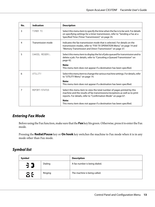<span id="page-12-0"></span>

| No. | <b>Indication</b> | <b>Description</b>                                                                                                                                                                                                       |  |
|-----|-------------------|--------------------------------------------------------------------------------------------------------------------------------------------------------------------------------------------------------------------------|--|
| 3   | TIMER TX          | Select this menu item to specify the time when the fax is to be sent. For details<br>on specifying settings for a timer transmission, refer to "Sending a Fax at a<br>Specified Time (Timer Transmission)" on page 35.   |  |
| 4   | Transmission mode | Indicates the fax transmission mode that is selected. For details on the<br>transmission modes, refer to "FAX TX OPERATION Menu" on page 14 and<br>"Memory Transmission and Direct Transmission" on page 37.             |  |
| 5   | CANCEL RESERU.    | Select this menu item to display the list of jobs queued for transmission and to<br>delete a job. For details, refer to "Canceling a Queued Transmission" on<br>page 42.                                                 |  |
|     |                   | Note:<br>This menu item does not appear if a destination has been specified.                                                                                                                                             |  |
| 6   | <b>HTTLTTY</b>    | Select this menu item to change the various machine settings. For details, refer<br>to "UTILITY Menu" on page 14.                                                                                                        |  |
|     |                   | Note:<br>This menu item does not appear if a destination has been specified.                                                                                                                                             |  |
| 7   | REPORT/STATUS     | Select this menu item to view the total number of pages printed by this<br>machine and the results of fax transmissions/receptions as well as to print<br>reports. For details, refer to "Confirmation Mode" on page 67. |  |
|     |                   | Note:<br>This menu item does not appear if a destination has been specified.                                                                                                                                             |  |

# **Entering Fax Mode**

Before using the Fax function, make sure that the **Fax** key lits green. Otherwise, press it to enter the Fax mode.

Pressing the **Redial/Pause** key or **On hook** key switches the machine to Fax mode when it is in any mode other than Fax mode.

# **Symbol list**

| Symbol |         | <b>Description</b>            |
|--------|---------|-------------------------------|
| うつ     | Dialing | A fax number is being dialed. |
| δŧ     | Ringing | The machine is being called.  |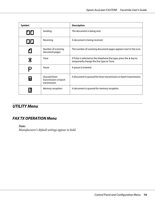<span id="page-13-0"></span>

| Symbol |                                                       | <b>Description</b>                                                                                                    |  |
|--------|-------------------------------------------------------|-----------------------------------------------------------------------------------------------------------------------|--|
| 00     | Sending                                               | The document is being sent.                                                                                           |  |
| 00     | Receiving                                             | A document is being received.                                                                                         |  |
| ŕ1     | Number of scanning<br>document pages                  | The number of scanning document pages appears next to the icon.                                                       |  |
| ≭      | Tone                                                  | If Pulse is selected as the telephone line type, press the $\ast$ key to<br>temporarily change the line type to Tone. |  |
| P      | Pause                                                 | A pause is inserted.                                                                                                  |  |
|        | Oueued timer<br>transmission or batch<br>transmission | A document is queued for timer transmission or batch transmission.                                                    |  |
| ħ      | Memory reception                                      | A document is queued for memory reception.                                                                            |  |

# **UTILITY Menu**

# **FAX TX OPERATION Menu**

*Note:*

*Manufacturer's default settings appear in bold.*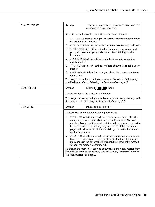| <b>QUALITY PRIORITY</b> | Settings                                                                                                                                                                                                                                                                                                                                                                           | <b>STD/TEXT</b> / FINE/TEXT / S-FINE/TEXT / STD/PHOTO /<br>FINE/PHOTO / S-FINE/PHOTO                                                             |  |  |
|-------------------------|------------------------------------------------------------------------------------------------------------------------------------------------------------------------------------------------------------------------------------------------------------------------------------------------------------------------------------------------------------------------------------|--------------------------------------------------------------------------------------------------------------------------------------------------|--|--|
|                         | Select the default scanning resolution (fax document quality).                                                                                                                                                                                                                                                                                                                     |                                                                                                                                                  |  |  |
|                         | STD/TEXT: Select this setting for documents containing handwriting<br>❏<br>or for computer printouts.                                                                                                                                                                                                                                                                              |                                                                                                                                                  |  |  |
|                         | FINE/TEXT: Select this setting for documents containing small print.<br>❏                                                                                                                                                                                                                                                                                                          |                                                                                                                                                  |  |  |
|                         | ❏<br>illustrations.                                                                                                                                                                                                                                                                                                                                                                | S-FINE/TEXT: Select this setting for documents containing small<br>print, such as newspapers, and documents containing detailed                  |  |  |
|                         | ❏<br>regular photos.                                                                                                                                                                                                                                                                                                                                                               | STD/PH0T0: Select this setting for photo documents containing                                                                                    |  |  |
|                         | ❏<br>images.                                                                                                                                                                                                                                                                                                                                                                       | FINE/PH0T0: Select this setting for photo documents containing fine                                                                              |  |  |
|                         | ▫<br>finer images.                                                                                                                                                                                                                                                                                                                                                                 | S-FINE/PH0T0: Select this setting for photo documents containing                                                                                 |  |  |
|                         | To change the resolution during transmission from the default setting<br>specified here, refer to "Selecting the Resolution" on page 26.                                                                                                                                                                                                                                           |                                                                                                                                                  |  |  |
| <b>DENSITY LEVEL</b>    | Settings                                                                                                                                                                                                                                                                                                                                                                           | (Light) $\Box$ $\Box$ (Dark)                                                                                                                     |  |  |
|                         |                                                                                                                                                                                                                                                                                                                                                                                    | Specify the density for scanning a document.                                                                                                     |  |  |
|                         | To change the density during transmission from the default setting speci-<br>fied here, refer to "Selecting the Scan Density" on page 27.                                                                                                                                                                                                                                          |                                                                                                                                                  |  |  |
| <b>DEFAULT TX</b>       | Settings                                                                                                                                                                                                                                                                                                                                                                           | <b>MEMORY TX / DIRECT TX</b>                                                                                                                     |  |  |
|                         |                                                                                                                                                                                                                                                                                                                                                                                    | Select the desired method for sending documents.                                                                                                 |  |  |
|                         | MEMORY TX: With this method, the fax transmission starts after the<br>❏<br>entire document is scanned and stored in the memory. The total<br>number of pages is automatically printed with the page number in the<br>header. However, the memory may become full if there are many<br>pages in the document or if the data is large due to the fine image<br>quality (resolution). |                                                                                                                                                  |  |  |
|                         | DIRECT TX: With this method, the transmission is performed in real<br>▫<br>time in the transmission sequence of the destinations. If there are<br>many pages in the document, the fax can be sent with this method<br>without the memory becoming full.                                                                                                                            |                                                                                                                                                  |  |  |
|                         | rect Transmission" on page 37.                                                                                                                                                                                                                                                                                                                                                     | To change the method for sending documents during transmission from<br>the default setting specified here, refer to "Memory Transmission and Di- |  |  |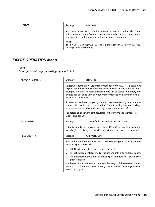<span id="page-15-0"></span>

| <b>HEADER</b> | Settings                                                                                                                                                                                                          | OFF/ <b>ON</b>                                                         |  |
|---------------|-------------------------------------------------------------------------------------------------------------------------------------------------------------------------------------------------------------------|------------------------------------------------------------------------|--|
|               | Select whether or not to print transmission source information (date/time<br>of transmission, sender's name, sender's fax number, session number and<br>page number) for the machine in the transmitted document. |                                                                        |  |
|               | Note:<br>setting cannot be changed.                                                                                                                                                                               | If PTT SETTING in the USER SETTING menu is set to U.S.A or KOREA, this |  |

# **FAX RX OPERATION Menu**

#### *Note:*

*Manufacturer's default settings appear in bold.*

| <b>MEMORY RX MODE</b> | Settings                                                                                                                                                                                                                                                                                                                               | OFF/ON                                                                                                                                                  |  |  |  |
|-----------------------|----------------------------------------------------------------------------------------------------------------------------------------------------------------------------------------------------------------------------------------------------------------------------------------------------------------------------------------|---------------------------------------------------------------------------------------------------------------------------------------------------------|--|--|--|
|                       | Select whether to allow (ON) memory reception or not (OFF). Select ON not<br>to print when receiving confidential faxes or when no one is around, for<br>example, at night. The received documents can be stored in memory and<br>printed at a specified time or when memory reception is turned off (this<br>function is set to UFF). |                                                                                                                                                         |  |  |  |
|                       | A password can be set to specify the starting time or ending time of mem-<br>ory reception, or to cancel the function. The set starting time and ending<br>time are valid every day until memory reception is turned off.                                                                                                              |                                                                                                                                                         |  |  |  |
|                       | For details on specifying settings, refer to "Setting Up the Memory RX<br>Mode" on page 20.                                                                                                                                                                                                                                            |                                                                                                                                                         |  |  |  |
| NO. of RINGS          | Settings                                                                                                                                                                                                                                                                                                                               | 1-16 (Default: Depends on PTT SETTING)                                                                                                                  |  |  |  |
|                       | Enter the number of rings (between 1 and 16) until the machine automat-<br>ically begins receiving the fax when an external telephone is connected.                                                                                                                                                                                    |                                                                                                                                                         |  |  |  |
| <b>REDUCTION RX</b>   | Settings                                                                                                                                                                                                                                                                                                                               | OFF/ON/CUT                                                                                                                                              |  |  |  |
|                       | Select whether documents longer than the current paper size are printed<br>reduced, split, or discarded.                                                                                                                                                                                                                               |                                                                                                                                                         |  |  |  |
|                       | ON: The document is printed at a reduced size.<br>❏                                                                                                                                                                                                                                                                                    |                                                                                                                                                         |  |  |  |
|                       | ❏                                                                                                                                                                                                                                                                                                                                      | OFF: The document is printed at full size and split onto multiple pages.                                                                                |  |  |  |
|                       | CUT: The document is printed, but any part that does not fit within the<br>◘<br>page is erased.                                                                                                                                                                                                                                        |                                                                                                                                                         |  |  |  |
|                       | Faxes" on page 50.                                                                                                                                                                                                                                                                                                                     | For details on the relationship between the length of the received docu-<br>ment and the document that is actually printed, refer to "Printing Received |  |  |  |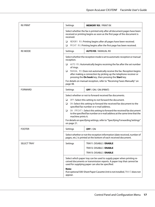| <b>RX PRINT</b>    | Settings                                                                                                                                                                   | <b>MEMORY RX / PRINT RX</b>                                                                                                                                                                        |  |  |
|--------------------|----------------------------------------------------------------------------------------------------------------------------------------------------------------------------|----------------------------------------------------------------------------------------------------------------------------------------------------------------------------------------------------|--|--|
|                    | Select whether the fax is printed only after all document pages have been<br>received or printing begins as soon as the first page of the document is<br>received.         |                                                                                                                                                                                                    |  |  |
|                    | ❏<br>□                                                                                                                                                                     | MEMORY RX: Printing begins after all pages have been received.                                                                                                                                     |  |  |
| <b>RX MODE</b>     |                                                                                                                                                                            | PRINT RX: Printing begins after the first page has been received.<br><b>AUTO RX / MANUAL RX</b>                                                                                                    |  |  |
|                    | reception.                                                                                                                                                                 | Settings<br>Select whether the reception mode is set to automatic reception or manual                                                                                                              |  |  |
|                    | □<br>of rings.                                                                                                                                                             | AUTO RX: Automatically begins receiving the fax after the set number                                                                                                                               |  |  |
|                    | ▫                                                                                                                                                                          | MANUAL RX: Does not automatically receive the fax. Reception begins<br>after making a connection by picking up the telephone receiver or<br>pressing the On hook key, then pressing the Start key. |  |  |
|                    | page 48.                                                                                                                                                                   | For details on manual reception, refer to "Receiving Faxes Manually" on                                                                                                                            |  |  |
| <b>FORWARD</b>     | Settings                                                                                                                                                                   | <b>OFF</b> / ON / ON (PRINT)                                                                                                                                                                       |  |  |
|                    | Select whether or not to forward received fax documents.                                                                                                                   |                                                                                                                                                                                                    |  |  |
|                    | OFF: Select this setting to not forward the document.<br>□                                                                                                                 |                                                                                                                                                                                                    |  |  |
|                    | □                                                                                                                                                                          | ON: Select this setting to forward the received fax document to the<br>specified fax number or e-mail address.                                                                                     |  |  |
|                    | ON (PRINT): Select this setting to forward the received fax document<br>□<br>to the specified fax number or e-mail address at the same time that the<br>machine prints it. |                                                                                                                                                                                                    |  |  |
|                    | For details on specifying settings, refer to "Specifying Forwarding Settings"<br>on page 21.                                                                               |                                                                                                                                                                                                    |  |  |
| <b>FOOTER</b>      | Settings                                                                                                                                                                   | OFF/ON                                                                                                                                                                                             |  |  |
|                    | Select whether or not the reception information (date received, number of<br>pages, etc.) is printed at the bottom of each received document.                              |                                                                                                                                                                                                    |  |  |
| <b>SELECT TRAY</b> | Settings                                                                                                                                                                   | TRAY1: DISABLE / ENABLE                                                                                                                                                                            |  |  |
|                    |                                                                                                                                                                            | TRAY2: DISABLE / ENABLE                                                                                                                                                                            |  |  |
|                    |                                                                                                                                                                            | TRAY3: DISABLE / ENABLE                                                                                                                                                                            |  |  |
|                    |                                                                                                                                                                            | Select which paper tray can be used to supply paper when printing re-<br>ceived documents or transmission reports. A paper tray that cannot be<br>used for supplying paper can also be specified.  |  |  |
|                    | Note:<br>If an optional 500-Sheet Paper Cassette Unit is not installed, TRAY3 does not<br>appear.                                                                          |                                                                                                                                                                                                    |  |  |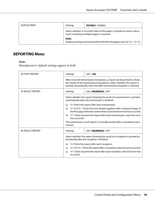<span id="page-17-0"></span>

| <b>DUPLEX PRINT</b> | Settings                                                                                                                | <b>DISABLE</b> / ENABLE                                                           |  |
|---------------------|-------------------------------------------------------------------------------------------------------------------------|-----------------------------------------------------------------------------------|--|
|                     | Select whether or not both sides of the paper is printed on when a docu-<br>ment containing multiple pages is received. |                                                                                   |  |
|                     | Note:                                                                                                                   | Duplex printing cannot be performed when the paper size is 8 $1/2 \times 13$ 1/2. |  |

# **REPORTING Menu**

#### *Note:*

*Manufacturer's default settings appear in bold.*

| <b>ACTIVITY REPORT</b>  | Settings                                                                                                                                            | OFF / ON                                                                                                                                                                                                                        |  |
|-------------------------|-----------------------------------------------------------------------------------------------------------------------------------------------------|---------------------------------------------------------------------------------------------------------------------------------------------------------------------------------------------------------------------------------|--|
|                         |                                                                                                                                                     | After every 60 transmissions/receptions, a report can be printed to show<br>the results of the transmissions/receptions. Select whether the report is<br>printed automatically when the 60th transmission/reception is reached. |  |
| <b>TX RESULT REPORT</b> | Settings                                                                                                                                            | ON / ON(ERROR) / OFF                                                                                                                                                                                                            |  |
|                         | Select whether the report showing the result of a transmission is printed<br>automatically after the transmission is finished.                      |                                                                                                                                                                                                                                 |  |
|                         | ON: Prints the report after each transmission.<br>❏                                                                                                 |                                                                                                                                                                                                                                 |  |
|                         | ON(ERROR): Prints the error details together with a reduced image of<br>◘<br>the first page of the document when a transmission error has occurred. |                                                                                                                                                                                                                                 |  |
|                         | OFF: Does not print the report after each transmission, even if an error<br>◘<br>has occurred.                                                      |                                                                                                                                                                                                                                 |  |
|                         | The transmission result report is normally printed after a broadcast trans-<br>mission.                                                             |                                                                                                                                                                                                                                 |  |
| <b>RX RESULT REPORT</b> | Settings                                                                                                                                            | ON / ON(ERROR) / OFF                                                                                                                                                                                                            |  |
|                         | Select whether the report showing the result of a reception is printed au-<br>tomatically after the reception is finished.                          |                                                                                                                                                                                                                                 |  |
|                         | ON: Prints the report after each reception.<br>❏                                                                                                    |                                                                                                                                                                                                                                 |  |
|                         | ❏                                                                                                                                                   | ON(ERROR): Prints the report after a reception only if an error occurred.                                                                                                                                                       |  |
|                         | ❏<br>occurred.                                                                                                                                      | OFF: Does not print the report after each reception, even if an error has                                                                                                                                                       |  |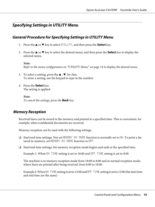# <span id="page-18-0"></span>**Specifying Settings in UTILITY Menu**

# **General Procedure for Specifying Settings in UTILITY Menu**

- 1. Press the  $\triangle$  or  $\nabla$  key to select UTILITY, and then press the **Select** key.
- 2. Press the  $\triangle$  or  $\nabla$  key to select the desired menu, and then press the **Select** key to display the selected menu.

*Note: Refer to the menu configuration on ["UTILITY Menu" on page 14](#page-13-0) to display the desired menu.*

- 3. To select a setting, press the  $\blacktriangle$ ,  $\nabla$ , lor rkey. To enter a setting, use the keypad to type in the number.
- 4. Press the **Select** key. The setting is applied.

*Note: To cancel the settings, press the* **Back** *key.*

# **Memory Reception**

Received faxes can be stored in the memory and printed at a specified time. This is convenient, for example, when confidential documents are received.

Memory reception can be used with the following settings.

- ❏ Start/end time settings: Not set MEMORY RX MODE function is normally set to ON. To print a fax saved in memory, set MEMORY RX MODE function to OFF.
- ❏ Start/end time settings: Set memory reception mode begins and ends at the specified time.

Example 1: When ON TIME setting is set to 18:00 and OFF TIME setting is set to 8:00

The machine is in memory reception mode from 18:00 to 8:00 and in normal reception mode, where faxes are printed after being received, from 8:00 to 18:00.

Example 2: When ON TIME setting is set to 12:00 and OFF TIME setting is set to 12:00 (the start time and end time are the same)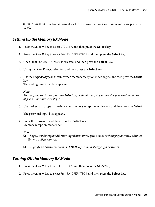<span id="page-19-0"></span>MEMORY RX MODE function is normally set to ON; however, faxes saved in memory are printed at 12:00.

# **Setting Up the Memory RX Mode**

- 1. Press the  $\triangle$  or  $\nabla$  key to select UTILITY, and then press the **Select** key.
- 2. Press the  $\blacktriangle$  or  $\nabla$  key to select FAX RX OPERATION, and then press the **Select** key.
- 3. Check that MEMORY RX MODE is selected, and then press the **Select** key.
- 4. Using the  $\blacktriangle$  or  $\nabla$  keys, select  $\Box$ N, and then press the **Select** key.
- 5. Use the keypad to type in the time when memory reception mode begins, and then press the **Select** key. The ending time input box appears.

*Note:*

*To specify no start time, press the* **Select** *key without specifying a time.The password input box appears. Continue with step 7.*

6. Use the keypad to type in the time when memory reception mode ends, and then press the **Select** key.

The password input box appears.

7. Enter the password, and then press the **Select** key. Memory reception mode is set.

#### *Note:*

- ❏ *The password is required for turning off memory reception mode or changing the start/end times. Enter a 4-digit number.*
- ❏ *To specify no password, press the* **Select** *key without specifying a password.*

# **Turning Off the Memory RX Mode**

- 1. Press the  $\triangle$  or  $\nabla$  key to select UTILITY, and then press the **Select** key.
- 2. Press the  $\triangle$  or  $\nabla$  key to select FAX RX OPERATION, and then press the **Select** key.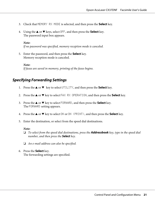- <span id="page-20-0"></span>3. Check that MEMORY RX MODE is selected, and then press the **Select** key.
- 4. Using the  $\triangle$  or  $\nabla$  keys, select OFF, and then press the **Select** key. The password input box appears.

#### *Note:*

*If no password was specified, memory reception mode is canceled.*

5. Enter the password, and then press the **Select** key. Memory reception mode is canceled.

*Note: If faxes are saved in memory, printing of the faxes begins.*

# **Specifying Forwarding Settings**

- 1. Press the  $\triangle$  or  $\nabla$  key to select UTILITY, and then press the **Select** key.
- 2. Press the  $\triangle$  or  $\nabla$  key to select FAX RX OPERATION, and then press the **Select** key.
- 3. Press the  $\triangle$  or  $\nabla$  key to select FORWARD, and then press the **Select** key. The FORWARD setting appears.
- 4. Press the  $\triangle$  or  $\nabla$  key to select  $\circ$ N or  $\circ$ N (PRINT), and then press the **Select** key.
- 5. Enter the destination, or select from the speed dial destinations.

#### *Note:*

- ❏ *To select from the speed dial destinations, press the* **Addressbook** *key, type in the speed dial number, and then press the* **Select** *key.*
- ❏ *An e-mail address can also be specified.*
- 6. Press the **Select** key. The forwarding settings are specified.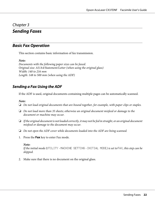# <span id="page-21-0"></span>Chapter 3

# **Sending Faxes**

# **Basic Fax Operation**

This section contains basic information of fax transmission.

*Note:*

*Documents with the following paper sizes can be faxed. Original size: A5/A4/Statement/Letter (when using the original glass) Width: 140 to 216 mm Length: 148 to 500 mm (when using the ADF)*

# **Sending a Fax Using the ADF**

If the ADF is used, original documents containing multiple pages can be automatically scanned.

#### *Note:*

- ❏ *Do not load original documents that are bound together, for example, with paper clips or staples.*
- ❏ *Do not load more than 35 sheets; otherwise an original document misfeed or damage to the document or machine may occur.*
- ❏ *If the original document is not loaded correctly, it may not be fed in straight, or an original document misfeed or damage to the document may occur.*
- ❏ *Do not open the ADF cover while documents loaded into the ADF are being scanned.*
- 1. Press the **Fax** key to enter Fax mode.

#### *Note:*

*If the initial mode (*UTILITY *-* MACHINE SETTING *-* INITIAL MODE*) is set to* FAX*, this step can be skipped.*

2. Make sure that there is no document on the original glass.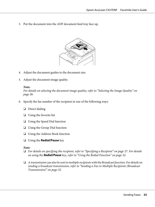3. Put the document into the ADF document feed tray face up.



- 4. Adjust the document guides to the document size.
- 5. Adjust the document image quality.

#### *Note:*

*For details on selecting the document image quality, refer to ["Selecting the Image Quality" on](#page-25-0) [page 26.](#page-25-0)*

- 6. Specify the fax number of the recipient in one of the following ways:
	- ❏ Direct dialing
	- ❏ Using the favorite list
	- ❏ Using the Speed Dial function
	- ❏ Using the Group Dial function
	- ❏ Using the Address Book function
	- ❏ Using the **Redial/Pause** key

#### *Note:*

- ❏ *For details on specifying the recipient, refer to ["Specifying a Recipient" on page 27](#page-26-0). For details on using the* **Redial/Pause** *key, refer to ["Using the Redial Function" on page 32.](#page-31-0)*
- ❏ *A transmission can also be sent to multiple recipients with the Broadcast function. For details on sending a broadcast transmission, refer to ["Sending a Fax to Multiple Recipients \(Broadcast](#page-31-0) [Transmission\)" on page 32.](#page-31-0)*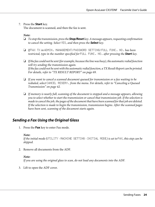#### <span id="page-23-0"></span>7. Press the **Start** key.

The document is scanned, and then the fax is sent.

#### *Note:*

- ❏ *To stop the transmission, press the* **Stop/Reset** *key. A message appears, requesting confirmation to cancel the setting. Select* YES*, and then press the* **Select** *key.*
- ❏ *If* FAX TX *in* ADMIN. MANAGEMENT*/* PASSWORD SETTING*/* FULL FUNC. NO. *has been restricted, type in the number specified for* FULL FUNC. NO. *after pressing the* **Start** *key.*
- ❏ *If the fax could not be sent (for example, because the line was busy), the automatic redial function will try sending the transmission again. If the fax could not be sent with the automatic redial function, a TX Result Report can be printed. For details, refer to ["TX RESULT REPORT" on page 69.](#page-68-0)*
- ❏ *If you want to cancel a scanned document queued for transmission or a fax waiting to be redialed, select* CANCEL RESERV. *from the menu. For details, refer to ["Canceling a Queued](#page-41-0) [Transmission" on page 42.](#page-41-0)*
- ❏ *If memory is nearly full, scanning of the document is stopped and a message appears, allowing you to select whether to start the transmission or cancel that transmission job. If the selection is made to cancel the job, the pages of the document that have been scanned for that job are deleted. If the selection is made to begin the transmission, transmission begins. After the scanned pages have been sent, scanning of the document starts again.*

# **Sending a Fax Using the Original Glass**

1. Press the **Fax** key to enter Fax mode.

#### *Note:*

*If the initial mode (*UTILITY *-* MACHINE SETTING *-* INITIAL MODE*) is set to* FAX*, this step can be skipped.*

2. Remove all documents from the ADF.

#### *Note:*

*If you are using the original glass to scan, do not load any documents into the ADF.*

3. Lift to open the ADF cover.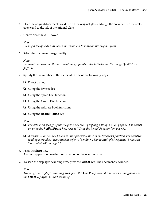- 4. Place the original document face down on the original glass and align the document on the scales above and to the left of the original glass.
- 5. Gently close the ADF cover.

#### *Note:*

*Closing it too quickly may cause the document to move on the original glass.*

6. Select the document image quality.

#### *Note:*

*For details on selecting the document image quality, refer to ["Selecting the Image Quality" on](#page-25-0) [page 26.](#page-25-0)*

- 7. Specify the fax number of the recipient in one of the following ways:
	- ❏ Direct dialing
	- ❏ Using the favorite list
	- ❏ Using the Speed Dial function
	- ❏ Using the Group Dial function
	- ❏ Using the Address Book functions
	- ❏ Using the **Redial/Pause** key

#### *Note:*

- ❏ *For details on specifying the recipient, refer to ["Specifying a Recipient" on page 27](#page-26-0). For details on using the* **Redial/Pause** *key, refer to ["Using the Redial Function" on page 32.](#page-31-0)*
- ❏ *A transmission can also be sent to multiple recipients with the Broadcast function. For details on sending a broadcast transmission, refer to ["Sending a Fax to Multiple Recipients \(Broadcast](#page-31-0) [Transmission\)" on page 32.](#page-31-0)*
- 8. Press the **Start** key. A screen appears, requesting confirmation of the scanning area.
- 9. To scan the displayed scanning area, press the **Select** key. The document is scanned.

#### *Note:*

*To change the displayed scanning area, press the*  $\triangle$  or  $\nabla$  *key, select the desired scanning area. Press the* **Select** *key again to start scanning.*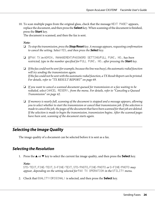<span id="page-25-0"></span>10. To scan multiple pages from the original glass, check that the message NEXT PAGE? appears, replace the document, and then press the **Select** key. When scanning of the document is finished, press the **Start** key.

The document is scanned, and then the fax is sent.

*Note:*

- ❏ *To stop the transmission, press the* **Stop/Reset** *key. A message appears, requesting confirmation to cancel the setting. Select* YES*, and then press the* **Select** *key.*
- ❏ *If* FAX TX *in* ADMIN. MANAGEMENT*/*PASSWORD SETTING*/*FULL FUNC. NO. *has been restricted, type in the number specified for* FULL FUNC. NO. *after pressing the* **Start** *key.*
- ❏ *If the fax could not be sent (for example, because the line was busy), the automatic redial function will try sending the transmission again. If the fax could not be sent with the automatic redial function, a TX Result Report can be printed. For details, refer to ["TX RESULT REPORT" on page 69.](#page-68-0)*
- ❏ *If you want to cancel a scanned document queued for transmission or a fax waiting to be redialed, select* CANCEL RESERV. *from the menu. For details, refer to ["Canceling a Queued](#page-41-0) [Transmission" on page 42.](#page-41-0)*
- ❏ *If memory is nearly full, scanning of the document is stopped and a message appears, allowing you to select whether to start the transmission or cancel that transmission job. If the selection is made to cancel the job, the pages of the document that have been scanned for that job are deleted. If the selection is made to begin the transmission, transmission begins. After the scanned pages have been sent, scanning of the document starts again.*

# **Selecting the Image Quality**

The image quality of a document can be selected before it is sent as a fax.

# **Selecting the Resolution**

1. Press the  $\triangle$  or  $\nabla$  key to select the current fax image quality, and then press the **Select** key.

#### *Note:*

STD/TEXT*,* FINE/TEXT*,* S-FINE/TEXT*,* STD/PHOTO*,* FINE/PHOTO *or* S-FINE/PHOTO *may appear, depending on the setting selected for* FAX TX OPERATION *in the* UTILITY *menu.*

2. Check that QUALITY(ORIGINAL) is selected, and then press the **Select** key.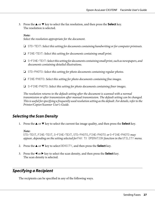<span id="page-26-0"></span>3. Press the  $\blacktriangle$  or  $\nabla$  key to select the fax resolution, and then press the **Select** key. The resolution is selected.

#### *Note:*

*Select the resolution appropriate for the document.*

- ❏ STD/TEXT*: Select this setting for documents containing handwriting or for computer printouts.*
- ❏ FINE/TEXT*: Select this setting for documents containing small print.*
- ❏ S-FINE/TEXT*: Select this setting for documents containing small print, such as newspapers, and documents containing detailed illustrations.*
- ❏ STD/PHOTO*: Select this setting for photo documents containing regular photos.*
- ❏ FINE/PHOTO*: Select this setting for photo documents containing fine images.*
- ❏ S-FINE/PHOTO*: Select this setting for photo documents containing finer images.*

*The resolution returns to the default setting after the document is scanned with a normal transmission or after transmission after manual transmission. The default setting can be changed. This is useful for specifying a frequently used resolution setting as the default. For details, refer to the Printer/Copier/Scanner User's Guide.*

# **Selecting the Scan Density**

1. Press the  $\blacktriangle$  or  $\nabla$  key to select the current fax image quality, and then press the **Select** key.

#### *Note:*

STD/TEXT*,* FINE/TEXT*,* S-FINE/TEXT*,* STD/PHOTO*,* FINE/PHOTO *or* S-FINE/PHOTO *may appear, depending on the setting selected for* FAX TX OPERATION *function in the* UTILITY *menu.* 

- 2. Press the  $\triangle$  or  $\nabla$  key to select DENSITY, and then press the **Select** key.
- 3. Press the  $\blacktriangleleft$  or  $\blacktriangleright$  key to select the scan density, and then press the **Select** key. The scan density is selected.

# **Specifying a Recipient**

The recipients can be specified in any of the following ways.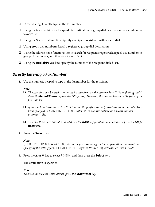- <span id="page-27-0"></span>❏ Direct dialing: Directly type in the fax number.
- ❏ Using the favorite list: Recall a speed dial destination or group dial destination registered on the favorite list.
- ❏ Using the Speed Dial function: Specify a recipient registered with a speed dial.
- ❏ Using group dial numbers: Recall a registered group dial destination.
- ❏ Using the address book functions: List or search for recipients registered as speed dial numbers or group dial numbers, and then select a recipient.
- ❏ Using the **Redial/Pause** key: Specify the number of the recipient dialed last.

## **Directly Entering a Fax Number**

1. Use the numeric keypad to type in the fax number for the recipient.

#### *Note:*

- $\Box$  *The keys that can be used to enter the fax number are: the number keys (0 through 9),*  $\angle$  *and #. Press the* **Redial/Pause** *key to enter "P" (pause). However, this cannot be entered in front of the fax number.*
- ❏ *If the machine is connected to a PBX line and the prefix number (outside line access number) has been specified in the* COMM. SETTING*, enter "#" to dial the outside line access number automatically.*
- ❏ *To erase the entered number, hold down the* **Back** *key for about one second, or press the* **Stop/ Reset** *key.*
- 2. Press the **Select** key.

#### *Note:*

*If* CONFIRM FAX NO. *is set to* ON*, type in the fax number again for confirmation. For details on specifying the setting for* CONFIRM FAX NO.*, refer to Printer/Copier/Scanner User's Guide.*

3. Press the  $\triangle$  or  $\nabla$  key to select FINISH, and then press the **Select** key.

The destination is specified.

*Note:*

*To erase the selected destinations, press the* **Stop/Reset** *key.*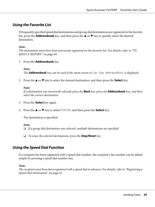# <span id="page-28-0"></span>**Using the Favorite List**

If frequently specified speed dial destinations and group dial destinations are registered in the favorite list, press the **Addressbook** key, and then press the  $\triangle$  or  $\nabla$  key to quickly select the desired destination.

#### *Note:*

*The destination must have been previously registered on the favorite list. For details, refer to ["TX](#page-68-0) [RESULT REPORT" on page 69.](#page-68-0)*

1. Press the **Addressbook** key.

#### *Note:*

*The* **Addressbook** *key can be used if the main screen or* Can Use AddressBook *is displayed.*

2. Press the  $\triangle$  or  $\nabla$  key to select the desired destination, and then press the **Select** key.

#### *Note:*

*If a destination was incorrectly selected, press the* **Back** *key, press the* **Addressbook** *key, and then select the correct destination.*

- 3. Press the **Select** key again.
- 4. Press the  $\triangle$  or  $\nabla$  key to select FINISH, and then press the **Select** key.

The destination is specified.

#### *Note:*

❏ *If a group dial destination was selected, multiple destinations are specified.*

❏ *To erase the selected destinations, press the* **Stop/Reset** *key.*

# **Using the Speed Dial Function**

If a recipient has been registered with a speed dial number, the recipient's fax number can be dialed simply by pressing a speed dial number key.

#### *Note:*

*The recipient must have been registered with a speed dial in advance. For details, refer to ["Registering a](#page-60-0) [Speed Dial Destination" on page 61.](#page-60-0)*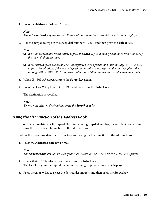<span id="page-29-0"></span>1. Press the **Addressbook** key 2 times.

#### *Note:*

*The* **Addressbook** *key can be used if the main screen or* Can Use AddressBook *is displayed.*

2. Use the keypad to type in the speed dial number (1-220), and then press the **Select** key.

#### *Note:*

- ❏ *If a number was incorrectly entered, press the* **Back** *key, and then type in the correct number of the speed dial destination.*
- ❏ *If the entered speed dial number is not registered with a fax number, the message* NOT FAX NO. *appears. In addition, if the entered speed dial number is not registered with a recipient, the message* NOT REGISTERED! *appears. Enter a speed dial number registered with a fax number.*
- 3. When OK=Select appears, press the **Select** key again.
- 4. Press the  $\triangle$  or  $\nabla$  key to select FINISH, and then press the **Select** key.

The destination is specified.

*Note: To erase the selected destinations, press the* **Stop/Reset** *key.*

### **Using the List Function of the Address Book**

If a recipient is registered with a speed dial number or a group dial number, the recipient can be found by using the List or Search function of the address book.

Follow the procedure described below to search using the List function of the address book.

1. Press the **Addressbook** key 4 times.

*Note: The* **Addressbook** *key can be used if the main screen or* Can Use AddressBook *is displayed.*

- 2. Check that LIST is selected, and then press the **Select** key. The list of programmed speed dial numbers and group dial numbers is displayed.
- 3. Press the  $\triangle$  or  $\nabla$  key to select the desired destination, and then press the **Select** key.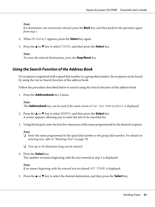#### <span id="page-30-0"></span>*Note:*

*If a destination was incorrectly selected, press the* **Back** *key, and then perform the operation again from step 1.*

- 4. When OK=Select appears, press the **Select** key again.
- 5. Press the  $\triangle$  or  $\nabla$  key to select FINISH, and then press the **Select** key.

#### *Note:*

*To erase the selected destinations, press the* **Stop/Reset** *key.*

# **Using the Search Function of the Address Book**

If a recipient is registered with a speed dial number or a group dial number, the recipient can be found by using the List or Search function of the address book.

Follow the procedure described below to search using the Search function of the address book.

1. Press the **Addressbook** key 4 times.

### *Note: The* **Addressbook** *key can be used if the main screen or* Can Use AddressBook *is displayed.*

- 2. Press the  $\triangle$  or  $\nabla$  key to select SEARCH, and then press the **Select** key. A screen appears, allowing you to enter the text to be searched for.
- 3. Using the keypad, enter the first few characters of the name programmed for the desired recipient.

#### *Note:*

- ❏ *Enter the name programmed in the speed dial number or the group dial number. For details on entering text, refer to ["Entering Text" on page 78.](#page-77-0)*
- ❏ *Text up to 10 characters long can be entered.*
- 4. Press the **Select** key. The number of names beginning with the text entered in step 3 is displayed.

#### *Note:*

If no names beginning with the entered text are found, **NOT** FOUND is displayed.

5. Press the  $\triangle$  or  $\nabla$  key to select the desired destination, and then press the **Select** key.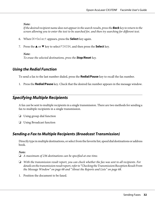#### <span id="page-31-0"></span>*Note:*

*If the desired recipient name does not appear in the search results, press the* **Back** *key to return to the screen allowing you to enter the text to be searched for, and then try searching for different text.*

- 6. When OK=Select appears, press the **Select** key again.
- 7. Press the  $\triangle$  or  $\nabla$  key to select FINISH, and then press the **Select** key.

#### *Note:*

*To erase the selected destinations, press the* **Stop/Reset** *key.*

# **Using the Redial Function**

To send a fax to the last number dialed, press the **Redial/Pause** key to recall the fax number.

1. Press the **Redial/Pause** key. Check that the desired fax number appears in the message window.

# **Specifying Multiple Recipients**

A fax can be sent to multiple recipients in a single transmission. There are two methods for sending a fax to multiple recipients in a single transmission.

- ❏ Using group dial function
- ❏ Using Broadcast function

# **Sending a Fax to Multiple Recipients (Broadcast Transmission)**

Directly type in multiple destinations, or select from the favorite list, speed dial destinations or address book.

#### *Note:*

❏ *A maximum of 236 destinations can be specified at one time.*

- ❏ *With the transmission result report, you can check whether the fax was sent to all recipients. For details on the transmission result report, refer to ["Checking the Transmission/Reception Result From](#page-67-0) [the Message Window" on page 68](#page-67-0) and ["About the Reports and Lists" on page 68.](#page-67-0)*
- 1. Position the document to be faxed.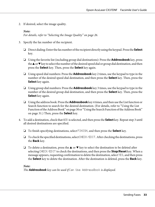2. If desired, select the image quality.

#### *Note:*

*For details, refer to ["Selecting the Image Quality" on page 26.](#page-25-0)*

- 3. Specify the fax number of the recipient.
	- ❏ Direct dialing: Enter the fax number of the recipient directly using the keypad. Press the **Select** key.
	- ❏ Using the favorite list (including group dial destinations): Press the **Addressbook** key, press the  $\blacktriangle$  or  $\nblacktriangledown$  key to select the number of the desired speed dial or group dial destination, and then press the **Select** key. Then, press the **Select** key again.
	- ❏ Using speed dial numbers: Press the **Addressbook** key 2 times, use the keypad to type in the number of the desired speed dial destination, and then press the **Select** key. Then, press the **Select** key again.
	- ❏ Using group dial numbers: Press the **Addressbook** key 3 times, use the keypad to type in the number of the desired group dial destination, and then press the **Select** key. Then, press the **Select** key again.
	- ❏ Using the address book: Press the **Addressbook** key 4 times, and then use the List function or Search function to search for the desired destination. (For details, refer to ["Using the List](#page-29-0) [Function of the Address Book" on page 30](#page-29-0) or ["Using the Search Function of the Address Book"](#page-30-0) [on page 31.](#page-30-0)) Then, press the **Select** key.
- 4. To add a destination, check that ADD is selected, and then press the **Select** key. Repeat step 3 until all desired destinations are specified.
	- ❏ To finish specifying destinations, select FINISH, and then press the **Select** key.
	- $\Box$  To check the specified destinations, select CHECK/EDIT. After checking the destinations, press the **Back** key.
	- **□** To delete a destination, press the **A** or  $\blacktriangledown$  key to select the destination to be deleted after selecting CHECK/EDIT to check the destinations, and then press the **Stop/Reset** key. When a message appears, requesting confirmation to delete the destination, select YES, and then press the **Select** key to delete the destination. After the destination is deleted, press the **Back** key.

#### *Note:*

*The* **Addressbook** *key can be used if* Can Use AddressBook *is displayed.*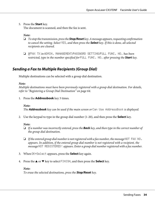<span id="page-33-0"></span>5. Press the **Start** key.

The document is scanned, and then the fax is sent.

*Note:*

- ❏ *To stop the transmission, press the* **Stop/Reset** *key. A message appears, requesting confirmation to cancel the setting. Select* YES*, and then press the* **Select** *key. If this is done, all selected recipients are cleared.*
- ❏ *If* FAX TX *in* ADMIN. MANAGEMENT*/*PASSWORD SETTING*/*FULL FUNC. NO. *has been restricted, type in the number specified for* FULL FUNC. NO. *after pressing the* **Start** *key.*

# **Sending a Fax to Multiple Recipients (Group Dial)**

Multiple destinations can be selected with a group dial destination.

#### *Note:*

*Multiple destinations must have been previously registered with a group dial destination. For details, refer to ["Registering a Group Dial Destination" on page 64](#page-63-0).*

1. Press the **Addressbook** key 3 times.

*Note: The* **Addressbook** *key can be used if the main screen or* Can Use AddressBook *is displayed.*

2. Use the keypad to type in the group dial number (1-20), and then press the **Select** key.

#### *Note:*

- ❏ *If a number was incorrectly entered, press the* **Back** *key, and then type in the correct number of the group dial destination.*
- ❏ *If the entered group dial number is not registered with a fax number, the message* NOT FAX NO. *appears. In addition, if the entered group dial number is not registered with a recipient, the message* NOT REGISTERED! *appears. Enter a group dial number registered with a fax number.*
- 3. When OK=Select appears, press the **Select** key again.
- 4. Press the  $\triangle$  or  $\nabla$  key to select FINISH, and then press the **Select** key.

#### *Note:*

*To erase the selected destinations, press the* **Stop/Reset** *key.*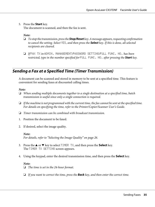<span id="page-34-0"></span>5. Press the **Start** key.

The document is scanned, and then the fax is sent.

*Note:*

- ❏ *To stop the transmission, press the* **Stop/Reset** *key. A message appears, requesting confirmation to cancel the setting. Select* YES*, and then press the* **Select** *key. If this is done, all selected recipients are cleared.*
- ❏ *If* FAX TX *in* ADMIN. MANAGEMENT*/*PASSWORD SETTING*/*FULL FUNC. NO. *has been restricted, type in the number specified for* FULL FUNC. NO. *after pressing the* **Start** *key.*

# **Sending a Fax at a Specified Time (Timer Transmission)**

A document can be scanned and stored in memory to be sent at a specified time. This feature is convenient for sending faxes at discounted calling times.

#### *Note:*

- ❏ *When sending multiple documents together to a single destination at a specified time, batch transmission is useful since only a single connection is required.*
- ❏ *If the machine is not programmed with the current time, the fax cannot be sent at the specified time. For details on specifying the time, refer to the Printer/Copier/Scanner User's Guide.*
- ❏ *Timer transmission can be combined with broadcast transmission.*
- 1. Position the document to be faxed.
- 2. If desired, select the image quality.

#### *Note:*

*For details, refer to ["Selecting the Image Quality" on page 26.](#page-25-0)*

- 3. Press the  $\triangle$  or  $\nabla$  key to select TIMER TX, and then press the **Select** key. The TIMER TX SETTING screen appears.
- 4. Using the keypad, enter the desired transmission time, and then press the **Select** key.

#### *Note:*

❏ *The time is set in the 24-hour format.*

❏ *If you want to correct the time, press the* **Back** *key, and then enter the correct time.*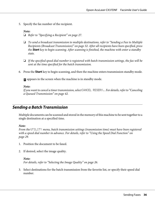<span id="page-35-0"></span>5. Specify the fax number of the recipient.

#### *Note:*

❏ *Refer to ["Specifying a Recipient" on page 27](#page-26-0).*

- ❏ *To send a broadcast transmission to multiple destinations, refer to ["Sending a Fax to Multiple](#page-31-0) [Recipients \(Broadcast Transmission\)" on page 32.](#page-31-0) After all recipients have been specified, press the* **Start** *key to begin scanning. After scanning is finished, the machine with enter a standby state.*
- ❏ *If the specified speed dial number is registered with batch transmission settings, the fax will be sent at the time specified for the batch transmission.*
- 6. Press the **Start** key to begin scanning, and then the machine enters transmission standby mode.

**n** appears in the screen when the machine is in standby mode.

*Note:*

*If you want to cancel a timer transmission, select* CANCEL RESERV.*. For details, refer to ["Canceling](#page-41-0) [a Queued Transmission" on page 42](#page-41-0).*

# **Sending a Batch Transmission**

Multiple documents can be scanned and stored in the memory of this machine to be sent together to a single destination at a specified time.

#### *Note:*

*From the* UTILITY *menu, batch transmission settings (transmission time) must have been registered with a speed dial number in advance. For details, refer to ["Using the Speed Dial Function" on](#page-28-0) [page 29.](#page-28-0)*

- 1. Position the document to be faxed.
- 2. If desired, select the image quality.

#### *Note:*

*For details, refer to ["Selecting the Image Quality" on page 26.](#page-25-0)*

3. Select destinations for the batch transmission from the favorite list, or specify their speed dial number.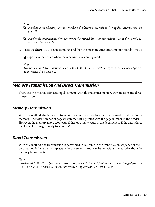- ❏ *For details on selecting destinations from the favorite list, refer to ["Using the Favorite List" on](#page-28-0) [page 29.](#page-28-0)*
- ❏ *For details on specifying destinations by their speed dial number, refer to ["Using the Speed Dial](#page-28-0) [Function" on page 29.](#page-28-0)*
- 4. Press the **Start** key to begin scanning, and then the machine enters transmission standby mode.

**T** appears in the screen when the machine is in standby mode.

*Note:*

*To cancel a batch transmission, select* CANCEL RESERV.*. For details, refer to ["Canceling a Queued](#page-41-0) [Transmission" on page 42.](#page-41-0)*

### **Memory Transmission and Direct Transmission**

There are two methods for sending documents with this machine: memory transmission and direct transmission.

### **Memory Transmission**

With this method, the fax transmission starts after the entire document is scanned and stored in the memory. The total number of pages is automatically printed with the page number in the header. However, the memory may become full if there are many pages in the document or if the data is large due to the fine image quality (resolution).

### **Direct Transmission**

With this method, the transmission is performed in real time in the transmission sequence of the destinations. If there are many pages in the document, the fax can be sent with this method without the memory becoming full.

*Note:*

*As a default,* MEMORY TX *(memory transmission) is selected. The default setting can be changed from the* UTILITY *menu. For details, refer to the Printer/Copier/Scanner User's Guide.*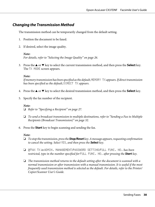### **Changing the Transmission Method**

The transmission method can be temporarily changed from the default setting.

- 1. Position the document to be faxed.
- 2. If desired, select the image quality.

#### *Note:*

*For details, refer to ["Selecting the Image Quality" on page 26.](#page-25-0)*

3. Press the  $\blacktriangle$  or  $\nabla$  key to select the current transmission method, and then press the **Select** key. The TX MODE screen appears.

#### *Note:*

*If memory transmission has been specified as the default,* MEMORY TX *appears. If direct transmission has been specified as the default,* DIRECT TX *appears.* 

- 4. Press the  $\blacktriangle$  or  $\nabla$  key to select the desired transmission method, and then press the **Select** key.
- 5. Specify the fax number of the recipient.

#### *Note:*

- ❏ *Refer to ["Specifying a Recipient" on page 27](#page-26-0).*
- ❏ *To send a broadcast transmission to multiple destinations, refer to ["Sending a Fax to Multiple](#page-31-0) [Recipients \(Broadcast Transmission\)" on page 32](#page-31-0).*
- 6. Press the **Start** key to begin scanning and sending the fax.

#### *Note:*

- ❏ *To stop the transmission, press the* **Stop/Reset** *key. A message appears, requesting confirmation to cancel the setting. Select* YES*, and then press the* **Select** *key.*
- ❏ *If* FAX TX *in* ADMIN. MANAGEMENT*/*PASSWORD SETTING*/*FULL FUNC. NO. *has been restricted, type in the number specified for* FULL FUNC. NO. *after pressing the* **Start** *key.*
- ❏ *The transmission method returns to the default setting after the document is scanned with a normal transmission or after transmission with a manual transmission. It is useful if the most frequently used transmission method is selected as the default. For details, refer to the Printer/ Copier/Scanner User's Guide.*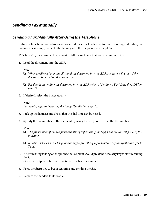## **Sending a Fax Manually**

### **Sending a Fax Manually After Using the Telephone**

If the machine is connected to a telephone and the same line is used for both phoning and faxing, the document can simply be sent after talking with the recipient over the phone.

This is useful, for example, if you want to tell the recipient that you are sending a fax.

1. Load the document into the ADF.

#### *Note:*

- ❏ *When sending a fax manually, load the document into the ADF. An error will occur if the document is placed on the original glass.*
- ❏ *For details on loading the document into the ADF, refer to ["Sending a Fax Using the ADF" on](#page-21-0) [page 22.](#page-21-0)*
- 2. If desired, select the image quality.

#### *Note:*

*For details, refer to ["Selecting the Image Quality" on page 26.](#page-25-0)*

- 3. Pick up the handset and check that the dial tone can be heard.
- 4. Specify the fax number of the recipient by using the telephone to dial the fax number.

#### *Note:*

- ❏ *The fax number of the recipient can also specified using the keypad in the control panel of this machine.*
- $\Box$  *If Pulse is selected as the telephone line type, press the x key to temporarily change the line type to Tone.*
- 5. After finishing talking on the phone, the recipient should press the necessary key to start receiving the fax. Once the recipient's fax machine is ready, a beep is sounded.
- 6. Press the **Start** key to begin scanning and sending the fax.
- 7. Replace the handset to its cradle.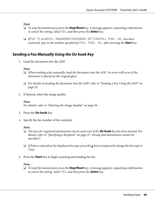- ❏ *To stop the transmission, press the* **Stop/Reset** *key. A message appears, requesting confirmation to cancel the setting. Select* YES*, and then press the* **Select** *key.*
- ❏ *If* FAX TX *in* ADMIN. MANAGEMENT*/*PASSWORD SETTING*/*FULL FUNC. NO. *has been restricted, type in the number specified for* FULL FUNC. NO. *after pressing the* **Start** *key.*

### **Sending a Fax Manually Using the On hook Key**

1. Load the document into the ADF.

### *Note:*

- ❏ *When sending a fax manually, load the document into the ADF. An error will occur if the document is placed on the original glass.*
- ❏ *For details on loading the document into the ADF, refer to ["Sending a Fax Using the ADF" on](#page-21-0) [page 22.](#page-21-0)*
- 2. If desired, select the image quality.

### *Note:*

*For details, refer to ["Selecting the Image Quality" on page 26.](#page-25-0)*

- 3. Press the **On hook** key.
- 4. Specify the fax number of the recipient.

### *Note:*

- ❏ *The keys for registered destinations can be used even if the* **On hook** *key has been pressed. For details, refer to ["Specifying a Recipient" on page 27.](#page-26-0) (Group dial destinations cannot be specified.)*
- $\Box$  *If Pulse is selected as the telephone line type, press the*  $\angle$  key to temporarily change the line type to *Tone.*
- 5. Press the **Start** key to begin scanning and sending the fax.

### *Note:*

❏ *To stop the transmission, press the* **Stop/Reset** *key. A message appears, requesting confirmation to cancel the setting. Select* YES*, and then press the* **Select** *key.*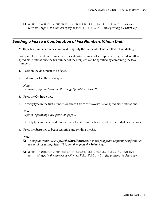❏ *If* FAX TX *in* ADMIN. MANAGEMENT*/*PASSWORD SETTING*/*FULL FUNC. NO. *has been restricted, type in the number specified for* FULL FUNC. NO. *after pressing the* **Start** *key.*

## **Sending a Fax to a Combination of Fax Numbers (Chain Dial)**

Multiple fax numbers can be combined to specify the recipients. This is called "chain dialing".

For example, if the phone number and the extension number of a recipient are registered as different speed dial destinations, the fax number of the recipient can be specified by combining the two numbers.

- 1. Position the document to be faxed.
- 2. If desired, select the image quality.

*Note: For details, refer to ["Selecting the Image Quality" on page 26.](#page-25-0)*

- 3. Press the **On hook** key.
- 4. Directly type in the first number, or select it from the favorite list or speed dial destinations.

#### *Note:*

*Refer to ["Specifying a Recipient" on page 27](#page-26-0).*

- 5. Directly type in the second number, or select it from the favorite list or speed dial destinations.
- 6. Press the **Start** key to begin scanning and sending the fax.

### *Note:*

- ❏ *To stop the transmission, press the* **Stop/Reset** *key. A message appears, requesting confirmation to cancel the setting. Select* YES*, and then press the* **Select** *key.*
- ❏ *If* FAX TX *in* ADMIN. MANAGEMENT*/*PASSWORD SETTING*/*FULL FUNC. NO. *has been restricted, type in the number specified for* FULL FUNC. NO. *after pressing the* **Start** *key.*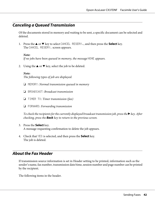## <span id="page-41-0"></span>**Canceling a Queued Transmission**

Of the documents stored in memory and waiting to be sent, a specific document can be selected and deleted.

1. Press the  $\blacktriangle$  or  $\nabla$  key to select CANCEL RESERV., and then press the **Select** key. The CANCEL RESERV. screen appears.

### *Note:*

*If no jobs have been queued in memory, the message* **NONE** *appears.* 

2. Using the  $\blacktriangle$  or  $\nabla$  key, select the job to be deleted.

#### *Note:*

*The following types of job are displayed.*

- ❏ MEMORY*: Normal transmission queued in memory*
- ❏ BROADCAST*: Broadcast transmission*
- ❏ TIMER TX*: Timer transmission (fax)*
- ❏ FORWARD*: Forwarding transmission*

*To check the recipients for the currently displayed broadcast transmission job, press the*  $\blacktriangleright$  *key. After checking, press the* **Back** *key to return to the previous screen.*

- 3. Press the **Select** key. A message requesting confirmation to delete the job appears.
- 4. Check that YES is selected, and then press the **Select** key. The job is deleted.

### **About the Fax Header**

If transmission source information is set in Header setting to be printed, information such as the sender's name, fax number, transmission date/time, session number and page number can be printed by the recipient.

The following items in the header.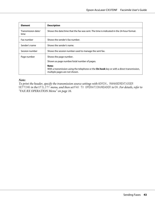| <b>Element</b>             | <b>Description</b>                                                                                                                  |
|----------------------------|-------------------------------------------------------------------------------------------------------------------------------------|
| Transmission date/<br>time | Shows the date/time that the fax was sent. The time is indicated in the 24-hour format.                                             |
| Fax number                 | Shows the sender's fax number.                                                                                                      |
| Sender's name              | Shows the sender's name.                                                                                                            |
| Session number             | Shows the session number used to manage the sent fax.                                                                               |
| Page number                | Shows the page number.                                                                                                              |
|                            | Shown as page number/total number of pages.                                                                                         |
|                            | Note:<br>With a transmission using the telephone or the On hook key or with a direct transmission,<br>multiple pages are not shown. |

*To print the header, specify the transmission source settings with*  $ADMIN$ . MANAGEMENT*/USER* SETTING *in the* UTILITY *menu, and then set* FAX TX OPERATION*/*HEADER *to* ON*. For details, refer to ["FAX RX OPERATION Menu" on page 16.](#page-15-0)*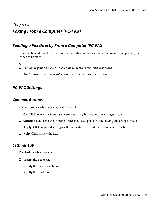# Chapter 4

## **Faxing From a Computer (PC-FAX)**

## **Sending a Fax Directly From a Computer (PC-FAX)**

A fax can be sent directly from a computer, instead of the computer document being printed, then loaded to be faxed.

*Note:*

- ❏ *In order to perform a PC-FAX operation, the fax driver must be installed.*
- ❏ *The fax driver is not compatible with IPP (Internet Printing Protocol).*

## **PC-FAX Settings**

### **Common Buttons**

The buttons described below appear on each tab.

- ❏ **OK**: Click to exit the Printing Preferences dialog box, saving any changes made.
- ❏ **Cancel**: Click to exit the Printing Preferences dialog box without saving any changes made.
- ❏ **Apply**: Click to save all changes without exiting the Printing Preferences dialog box.
- ❏ **Help**: Click to view the help.

### **Settings Tab**

The Settings tab allows you to

- ❏ Specify the paper size
- ❏ Specify the paper orientation
- ❏ Specify the resolution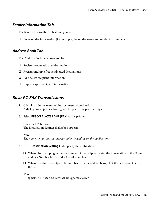### **Sender Information Tab**

The Sender Information tab allows you to

❏ Enter sender information (for example, the sender name and sender fax number)

### **Address Book Tab**

The Address Book tab allows you to

- ❏ Register frequently used destinations
- ❏ Register multiple frequently used destinations
- ❏ Edit/delete recipient information
- ❏ Import/export recipient information

## **Basic PC-FAX Transmissions**

- 1. Click **Print** in the menu of the document to be faxed. A dialog box appears, allowing you to specify the print settings.
- 2. Select **EPSON AL-CX37DNF (FAX)** as the printer.
- 3. Click the **OK** button. The Destination Settings dialog box appears.

- 4. In the **Destination Settings** tab, specify the destination.
	- ❏ When directly typing in the fax number of the recipient, enter the information in the Name and Fax Number boxes under User/Group List.
	- ❏ When selecting the recipient fax number from the address book, click the desired recipient in the list.

*Note:*

*"P" (pause) can only be entered as an uppercase letter.*

*Note: The names of buttons that appear differ depending on the application.*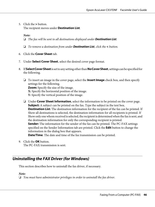5. Click the **>** button. The recipient moves under **Destination List**.

*Note:*

❏ *The fax will be sent to all destinations displayed under* **Destination List***.*

- ❏ *To remove a destination from under* **Destination List***, click the* **<** *button.*
- 6. Click the **Cover Sheet** tab.
- 7. Under **Select Cover Sheet**, select the desired cover page format.
- 8. If **Select Cover Sheet** is set to any setting other than **No Cover Sheet**, settings can be specified for the following.
	- ❏ To insert an image in the cover page, select the **Insert Image** check box, and then specify settings for the following. **Zoom:** Specify the size of the image. **X:** Specify the horizontal position of the image. **Y:** Specify the vertical position of the image.
	- ❏ Under **Cover Sheet Information**, select the information to be printed on the cover page. **Subject:** A subject can be printed on the fax. Type the subject in the text box. **Destination List:** The destination information for the recipient of the fax can be printed. If Show all destinations is selected, the destination information for all recipients is printed. If Show only one whom received is selected, the recipient is determined when the fax is sent, and the destination information for only the corresponding recipient is printed. **Sender:** The information for the sender of the fax can be printed. The PC-FAX settings specified on the Sender Information tab are printed. Click the **Edit** button to change the information in the dialog box that appears. **Date/Time**: The date and time of the fax transmission can be printed.
- 9. Click the **OK** button.

The PC-FAX transmission is sent.

## **Uninstalling the FAX Driver (for Windows)**

This section describes how to uninstall the fax driver, if necessary.

#### *Note:*

❏ *You must have administrator privileges in order to uninstall the fax driver.*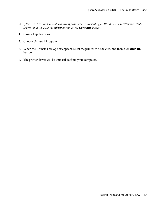- ❏ *If the User Account Control window appears when uninstalling on Windows Vista/ 7/ Server 2008/ Server 2008 R2, click the* **Allow** *button or the* **Continue** *button.*
- 1. Close all applications.
- 2. Choose Uninstall Program.
- 3. When the Uninstall dialog box appears, select the printer to be deleted, and then click **Uninstall** button.
- 4. The printer driver will be uninstalled from your computer.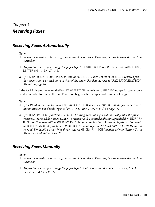### Chapter 5

## **Receiving Faxes**

## **Receiving Faxes Automatically**

### *Note:*

- ❏ *When the machine is turned off, faxes cannot be received. Therefore, be sure to leave the machine turned on.*
- ❏ *To print a received fax, change the paper type to* PLAIN PAPER *and the paper size to* A4*,* LEGAL*,* LETTER *or* 8 1/2× 13 1/2*.*
- ❏ *If* FAX RX OPERATION*/*DUPLEX PRINT *in the* UTILITY *menu is set to* ENABLE*, a received fax document can be printed on both sides of the paper. For details, refer to ["FAX RX OPERATION](#page-15-0) [Menu" on page 16.](#page-15-0)*

If the RX Mode parameter on the FAX RX OPERATION menu is set to AUTO RX, no special operation is needed in order to receive the fax. Reception begins after the specified number of rings.

### *Note:*

- ❏ *If the RX Mode parameter on the* FAX RX OPERATION *menu is set* MANUAL RX*, the fax is not received automatically. For details, refer to ["FAX RX OPERATION Menu" on page 16](#page-15-0).*
- ❏ *If* MEMORY RX MODE *function is set to* ON*, printing does not begin automatically after the fax is* received. A received document is saved in memory and is printed at the time specified for **NEMORY** RX MODE *function. In addition, if* MEMORY RX MODE *function is set to* OFF*, the fax is printed. For details on* MEMORY RX MODE *function in the* UTILITY *menu, refer to ["FAX RX OPERATION Menu" on](#page-15-0) [page 16.](#page-15-0) For details on specifying the settings for* MEMORY RX MODE *function, refer to ["Setting Up the](#page-19-0) [Memory RX Mode" on page 20](#page-19-0).*

### **Receiving Faxes Manually**

### *Note:*

- ❏ *When the machine is turned off, faxes cannot be received. Therefore, be sure to leave the machine turned on.*
- ❏ *To print a received fax, change the paper type to plain paper and the paper size to A4, LEGAL, LETTER or 8 1/2* × *13 1/2.*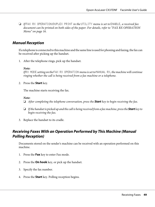❏ *If* FAX RX OPERATION*/*DUPLEX PRINT *in the* UTILITY *menu is set to* ENABLE*, a received fax document can be printed on both sides of the paper. For details, refer to ["FAX RX OPERATION](#page-15-0) [Menu" on page 16.](#page-15-0)*

### **Manual Reception**

If a telephone is connected to this machine and the same line is used for phoning and faxing, the fax can be received after picking up the handset.

1. After the telephone rings, pick up the handset.

#### *Note:*

*If* RX MODE *setting on the* FAX RX OPERATION *menu is set to* MANUAL RX*, the machine will continue ringing whether the call is being received from a fax machine or a telephone.*

2. Press the **Start** key.

The machine starts receiving the fax.

#### *Note:*

- ❏ *After completing the telephone conversation, press the* **Start** *key to begin receiving the fax.*
- ❏ *If the handset is picked up and the call is being received from a fax machine, press the* **Start** *key to begin receiving the fax.*
- 3. Replace the handset to its cradle.

### **Receiving Faxes With an Operation Performed by This Machine (Manual Polling Reception)**

Documents stored on the sender's machine can be received with an operation performed on this machine.

- 1. Press the **Fax** key to enter Fax mode.
- 2. Press the **On hook** key, or pick up the handset.
- 3. Specify the fax number.
- 4. Press the **Start** key. Polling reception begins.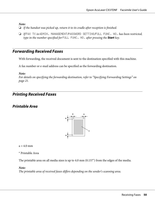- ❏ *If the handset was picked up, return it to its cradle after reception is finished.*
- ❏ *If* FAX TX *in* ADMIN. MANAGEMENT*/*PASSWORD SETTING*/*FULL FUNC. NO. *has been restricted, type in the number specified for* FULL FUNC. NO. *after pressing the* **Start** *key.*

### **Forwarding Received Faxes**

With forwarding, the received document is sent to the destination specified with this machine.

A fax number or e-mail address can be specified as the forwarding destination.

#### *Note:*

*For details on specifying the forwarding destination, refer to ["Specifying Forwarding Settings" on](#page-20-0) [page 21.](#page-20-0)*

### **Printing Received Faxes**

### **Printable Area**



 $a = 4.0$  mm

\* Printable Area

The printable area on all media sizes is up to 4.0 mm (0.157") from the edges of the media.

#### *Note:*

*The printable area of received faxes differs depending on the sender's scanning area.*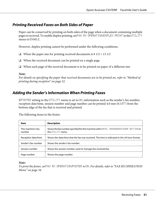## **Printing Received Faxes on Both Sides of Paper**

Paper can be conserved by printing on both sides of the page when a document containing multiple pages is received. To enable duplex printing, set FAX RX OPERATION/DUPLEX PRINT in the UTILITY menu to ENABLE.

However, duplex printing cannot be performed under the following conditions.

❏ When the paper size for printing received documents is 8 1/2 × 13 1/2

- ❏ When the received document can be printed on a single page
- ❏ When each page of the received document is to be printed on paper of a different size

### *Note:*

*For details on specifying the paper that received documents are to be printed on, refer to ["Method of](#page-51-0) [printing during reception" on page 52.](#page-51-0)*

## **Adding the Sender's Information When Printing Faxes**

If FOOTER setting in the UTILITY menu is set to ON, information such as the sender's fax number, reception date/time, session number and page number can be printed 4.0 mm (0.157") from the bottom edge of the fax that is received and printed.

The following items in the footer.

| <b>Item</b>                  | <b>Description</b>                                                                                          |
|------------------------------|-------------------------------------------------------------------------------------------------------------|
| This machine's fax<br>number | Shows the fax number specified for this machine with ADMIN. MANAGEMENT/USER SETTING in<br>the UTILITY menu. |
| Reception date/time          | Shows the date/time that the fax was received. The time is indicated in the 24-hour format.                 |
| Sender's fax number          | Shows the sender's fax number.                                                                              |
| Session number               | Shows the session number used to manage the received fax.                                                   |
| Page number                  | Shows the page number.                                                                                      |

### *Note:*

*To print the footer, set* FAX RX OPERATION*/*FOOTER *to* ON*. For details, refer to ["FAX RX OPERATION](#page-15-0) [Menu" on page 16.](#page-15-0)*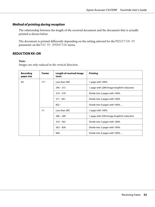### <span id="page-51-0"></span>**Method of printing during reception**

The relationship between the length of the received document and the document that is actually printed is shown below.

The document is printed differently depending on the setting selected for the REDUCTION RX parameter on the FAX RX OPERATION menu.

### **REDUCTION RX: ON**

#### *Note:*

*Images are only reduced in the vertical direction.*

| Recording<br>paper size | Footer | <b>Length of received image</b><br>[mm] | <b>Printing</b>                           |
|-------------------------|--------|-----------------------------------------|-------------------------------------------|
| A4                      | OFF.   | Less than 289                           | 1 page with 100%                          |
|                         |        | $290 - 313$                             | 1 page with (289/image length)% reduction |
|                         |        | $314 - 570$                             | Divide into 2 pages with 100%             |
|                         |        | $571 - 851$                             | Divide into 3 pages with 100%             |
|                         |        | $852 -$                                 | Divide into 4 pages with 100%             |
|                         | 0N.    | Less than 285                           | 1 page with 100%                          |
|                         |        | $286 - 309$                             | 1 page with (285/image length)% reduction |
|                         |        | $310 - 562$                             | Divide into 2 pages with 100%             |
|                         |        | $563 - 839$                             | Divide into 3 pages with 100%             |
|                         |        | $840 -$                                 | Divide into 4 pages with 100%             |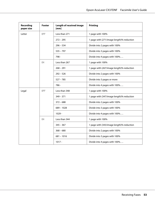| <b>Recording</b><br>paper size | <b>Footer</b> | <b>Length of received image</b><br>[mm]                  | <b>Printing</b>                           |
|--------------------------------|---------------|----------------------------------------------------------|-------------------------------------------|
| Letter                         | <b>OFF</b>    | Less than 271                                            | 1 page with 100%                          |
|                                |               | $272 - 295$                                              | 1 page with (271/image length)% reduction |
|                                |               | $296 - 534$                                              | Divide into 2 pages with 100%             |
|                                |               | $535 - 797$                                              | Divide into 3 pages with 100%             |
|                                |               | 798 -                                                    | Divide into 4 pages with 100%             |
|                                | ΩN            | Less than 267                                            | 1 page with 100%                          |
|                                |               | $268 - 291$                                              | 1 page with (267/image length)% reduction |
|                                |               | $292 - 526$                                              | Divide into 2 pages with 100%             |
|                                |               | $527 - 785$                                              | Divide into 3 pages or more               |
|                                |               | 786 -                                                    | Divide into 4 pages with 100%             |
| Legal                          | <b>OFF</b>    | Less than 348                                            | 1 page with 100%                          |
|                                |               | $349 - 371$<br>1 page with (347/image length)% reduction |                                           |
|                                |               | $372 - 688$                                              | Divide into 2 pages with 100%             |
|                                |               | $689 - 1028$                                             | Divide into 3 pages with 100%             |
|                                |               | $1029 -$                                                 | Divide into 4 pages with 100%             |
|                                | ON            | Less than 344                                            | 1 page with 100%                          |
|                                |               | $345 - 367$                                              | 1 page with (343/image length)% reduction |
|                                |               | $368 - 680$                                              | Divide into 2 pages with 100%             |
|                                |               | $681 - 1016$                                             | Divide into 3 pages with 100%             |
|                                |               | $1017 -$                                                 | Divide into 4 pages with 100%             |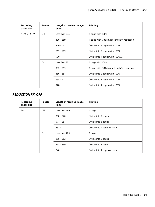| Recording<br>paper size | Footer | <b>Length of received image</b><br>[mm] | Printing                                  |
|-------------------------|--------|-----------------------------------------|-------------------------------------------|
| $81/2 \times 131/2$     | 0FF    | Less than 335                           | 1 page with 100%                          |
|                         |        | $336 - 359$                             | 1 page with (335/image length)% reduction |
|                         |        | $360 - 662$                             | Divide into 2 pages with 100%             |
|                         |        | $663 - 989$                             | Divide into 3 pages with 100%             |
|                         |        | $990 -$                                 | Divide into 4 pages with 100%             |
|                         | 0N.    | Less than 331                           | 1 page with 100%                          |
|                         |        | $332 - 355$                             | 1 page with (331/image length)% reduction |
|                         |        | $356 - 654$                             | Divide into 2 pages with 100%             |
|                         |        | $655 - 977$                             | Divide into 3 pages with 100%             |
|                         |        | 978                                     | Divide into 4 pages with 100%             |

### **REDUCTION RX: OFF**

| Recording<br>paper size | Footer     | <b>Length of received image</b><br>[mm] | <b>Printing</b>             |
|-------------------------|------------|-----------------------------------------|-----------------------------|
| A4                      | <b>OFF</b> | Less than 289                           | 1 page                      |
|                         |            | $290 - 570$                             | Divide into 2 pages         |
|                         |            | $571 - 851$                             | Divide into 3 pages         |
|                         |            | $852 -$                                 | Divide into 4 pages or more |
|                         | 0N.        | Less than 285                           | 1 page                      |
|                         |            | $286 - 562$                             | Divide into 2 pages         |
|                         |            | $563 - 839$                             | Divide into 3 pages         |
|                         |            | $840 -$                                 | Divide into 4 pages or more |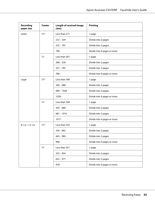| <b>Recording</b><br>paper size | <b>Footer</b> | <b>Length of received image</b><br>[mm] | <b>Printing</b>             |
|--------------------------------|---------------|-----------------------------------------|-----------------------------|
| Letter                         | <b>OFF</b>    | Less than 271                           | 1 page                      |
|                                |               | $272 - 534$                             | Divide into 2 pages         |
|                                |               | $535 - 797$                             | Divide into 3 pages         |
|                                |               | 798 -                                   | Divide into 4 pages or more |
|                                | 0N            | Less than 267                           | 1 page                      |
|                                |               | $268 - 526$                             | Divide into 2 pages         |
|                                |               | $527 - 785$                             | Divide into 3 pages         |
|                                |               | 786 -                                   | Divide into 4 pages or more |
| Legal                          | <b>OFF</b>    | Less than 348                           | 1 page                      |
|                                |               | $349 - 688$                             | Divide into 2 pages         |
|                                |               | $689 - 1028$                            | Divide into 3 pages         |
|                                |               | $1029 -$                                | Divide into 4 pages or more |
|                                | 0N            | Less than 344                           | 1 page                      |
|                                |               | $345 - 680$                             | Divide into 2 pages         |
|                                |               | $681 - 1016$                            | Divide into 3 pages         |
|                                |               | $1017 -$                                | Divide into 4 pages or more |
| $81/2 \times 131/2$            | <b>OFF</b>    | Less than 335                           | 1 page                      |
|                                |               | $356 - 662$                             | Divide into 2 pages         |
|                                |               | $663 - 989$                             | Divide into 3 pages         |
|                                |               | 990 -                                   | Divide into 4 pages or more |
|                                | <b>ON</b>     | Less than 331                           | 1 page                      |
|                                |               | $332 - 654$                             | Divide into 2 pages         |
|                                |               | $655 - 977$                             | Divide into 3 pages         |
|                                |               | $978 -$                                 | Divide into 4 pages or more |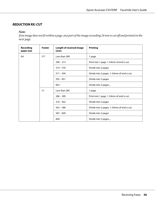### **REDUCTION RX: CUT**

### *Note:*

*If an image does not fit within a page, any part of the image exceeding 24 mm is cut off and printed on the next page.*

| <b>Recording</b><br>paper size | Footer     | <b>Length of received image</b><br>[mm] | <b>Printing</b>                            |
|--------------------------------|------------|-----------------------------------------|--------------------------------------------|
| A4                             | <b>OFF</b> | Less than 289                           | 1 page                                     |
|                                |            | $290 - 313$                             | Print into 1 page. 1-24mm of end is cut.   |
|                                |            | $314 - 570$                             | Divide into 2 pages                        |
|                                |            | $571 - 594$                             | Divide into 2 pages. 1-24mm of end is cut. |
|                                |            | $595 - 851$                             | Divide into 3 pages                        |
|                                |            | $852 -$                                 | Divide into 3 pages                        |
|                                | -ON        | Less than 285                           | 1 page                                     |
|                                |            | $286 - 309$                             | Print into 1 page. 1-24mm of end is cut.   |
|                                |            | $310 - 562$                             | Divide into 2 pages                        |
|                                |            | $563 - 586$                             | Divide into 2 pages. 1-24mm of end is cut. |
|                                |            | $587 - 839$                             | Divide into 3 pages                        |
|                                |            | $840 -$                                 | Divide into 3 pages                        |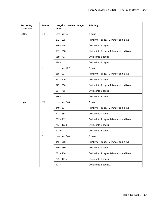| <b>Recording</b><br>paper size | <b>Footer</b> | <b>Length of received image</b><br>[mm] | <b>Printing</b>                            |  |
|--------------------------------|---------------|-----------------------------------------|--------------------------------------------|--|
| Letter                         | 0FF           | Less than 271                           | 1 page                                     |  |
|                                |               | $272 - 295$                             | Print into 1 page. 1-24mm of end is cut.   |  |
|                                |               | $296 - 534$                             | Divide into 2 pages                        |  |
|                                |               | $535 - 558$                             | Divide into 2 pages. 1-24mm of end is cut. |  |
|                                |               | $559 - 797$                             | Divide into 3 pages                        |  |
|                                |               | 798 -                                   | Divide into 3 pages                        |  |
|                                | 0N            | Less than 267                           | 1 page                                     |  |
|                                |               | $268 - 291$                             | Print into 1 page. 1-24mm of end is cut.   |  |
|                                |               | $292 - 526$                             | Divide into 2 pages                        |  |
|                                |               | $527 - 550$                             | Divide into 2 pages. 1-24mm of end is cut. |  |
|                                |               | $551 - 785$                             | Divide into 3 pages                        |  |
|                                |               | 786 -                                   | Divide into 3 pages                        |  |
| Legal                          | <b>OFF</b>    | Less than 348                           | 1 page                                     |  |
|                                |               | $349 - 371$                             | Print into 1 page. 1-24mm of end is cut.   |  |
|                                |               | $372 - 688$                             | Divide into 2 pages                        |  |
|                                |               | $689 - 712$                             | Divide into 2 pages. 1-24mm of end is cut. |  |
|                                |               | $713 - 1028$                            | Divide into 3 pages                        |  |
|                                |               | $1029 -$                                | Divide into 3 pages                        |  |
|                                | ΟN            | Less than 344                           | 1 page                                     |  |
|                                |               | $345 - 368$                             | Print into 1 page. 1-24mm of end is cut.   |  |
|                                |               | $369 - 680$                             | Divide into 2 pages                        |  |
|                                |               | $681 - 704$                             | Divide into 2 pages. 1-24mm of end is cut. |  |
|                                |               | $705 - 1016$                            | Divide into 3 pages                        |  |
|                                |               | $1017 -$                                | Divide into 3 pages                        |  |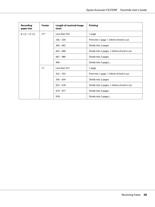| <b>Recording</b><br>paper size | Footer | <b>Length of received image</b><br>[mm] | <b>Printing</b>                            |
|--------------------------------|--------|-----------------------------------------|--------------------------------------------|
| $81/2 \times 131/2$            | 0FF    | Less than 335                           | 1 page                                     |
|                                |        | $336 - 359$                             | Print into 1 page. 1-24mm of end is cut.   |
|                                |        | $360 - 662$                             | Divide into 2 pages                        |
|                                |        | $663 - 686$                             | Divide into 2 pages. 1-24mm of end is cut. |
|                                |        | $687 - 989$                             | Divide into 3 pages                        |
|                                |        | $990 -$                                 | Divide into 3 pages                        |
|                                | ΟN     | Less than 331                           | 1 page                                     |
|                                |        | $332 - 355$                             | Print into 1 page. 1-24mm of end is cut.   |
|                                |        | $356 - 654$                             | Divide into 2 pages                        |
|                                |        | $655 - 678$                             | Divide into 2 pages. 1-24mm of end is cut. |
|                                |        | $679 - 977$                             | Divide into 3 pages                        |
|                                |        | $978 -$                                 | Divide into 3 pages                        |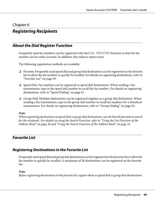### Chapter 6

## **Registering Recipients**

## **About the Dial Register Function**

Frequently used fax numbers can be registered with the DIAL REGISTER function so that the fax number can be easily accessed. In addition, this reduces input errors.

The following registration methods are available:

- ❏ Favorite: Frequently used speed dial and group dial destinations can be registered on the favorite list to allow the fax number to quickly be recalled. For details on registering destinations, refer to "Favorite List" on page 59.
- ❏ Speed Dial: Fax numbers can be registered as speed dial destinations. When sending a fax transmission, type in the speed dial number to recall the fax number. For details on registering destinations, refer to ["Speed Dialing" on page 61.](#page-60-0)
- ❏ Group Dial: Multiple destinations can be registered together as a group dial destination. When sending a fax transmission, type in the group dial number to recall fax numbers for a broadcast transmission. For details on registering destinations, refer to ["Group Dialing" on page 64.](#page-63-0)

#### *Note:*

*When registering destinations as speed dial or group dial destinations, use the Search function to search for the recipients. For details on using the Search Function, refer to ["Using the List Function of the](#page-29-0) [Address Book" on page 30](#page-29-0) and ["Using the Search Function of the Address Book" on page 31](#page-30-0).*

## **Favorite List**

### **Registering Destinations in the Favorite List**

Frequently used speed dial and group dial destinations can be registered on the favorite list to allow the fax number to quickly be recalled. A maximum of 20 destinations can be registered on the favorite list.

### *Note:*

*Before registering destinations in the favorite list, register them as speed dial or group dial destinations.*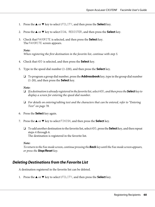- 1. Press the  $\triangle$  or  $\nabla$  key to select UTILITY, and then press the **Select** key.
- 2. Press the  $\blacktriangle$  or  $\nabla$  key to select DIAL REGISTER, and then press the **Select** key.
- 3. Check that FAVORITE is selected, and then press the **Select** key. The FAVORITE screen appears.

*When registering the first destination in the favorite list, continue with step 5.*

- 4. Check that ADD is selected, and then press the **Select** key.
- 5. Type in the speed dial number (1-220), and then press the **Select** key.
	- ❏ To program a group dial number, press the **Addressbook** key, type in the group dial number (1-20), and then press the **Select** key.

#### *Note:*

- ❏ *If a destination is already registered in the favorite list, select* ADD*, and then press the* **Select** *key to display a screen for entering the speed dial number.*
- ❏ *For details on entering/editing text and the characters that can be entered, refer to ["Entering](#page-77-0) [Text" on page 78](#page-77-0).*
- 6. Press the **Select** key again.
- 7. Press the  $\triangle$  or  $\nabla$  key to select FINISH, and then press the **Select** key.
	- ❏ To add another destination to the favorite list, select ADD, press the **Select** key, and then repeat steps 4 through 6. The destination is registered in the favorite list.

#### *Note:*

*To return to the Fax mode screen, continue pressing the* **Back** *key until the Fax mode screen appears, or press the* **Stop/Reset** *key.*

### **Deleting Destinations from the Favorite List**

A destination registered in the favorite list can be deleted.

1. Press the  $\triangle$  or  $\nabla$  key to select UTILITY, and then press the **Select** key.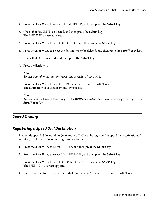- <span id="page-60-0"></span>2. Press the  $\blacktriangle$  or  $\nabla$  key to select DIAL REGISTER, and then press the **Select** key.
- 3. Check that FAVORITE is selected, and then press the **Select** key. The FAVORITE screen appears.
- 4. Press the  $\blacktriangle$  or  $\nabla$  key to select CHECK/EDIT, and then press the **Select** key.
- 5. Press the  $\triangle$  or  $\nabla$  key to select the destination to be deleted, and then press the **Stop/Reset** key.
- 6. Check that YES is selected, and then press the **Select** key.
- 7. Press the **Back** key.

#### *Note: To delete another destination, repeat the procedure from step 5.*

8. Press the  $\triangle$  or  $\nabla$  key to select FINISH, and then press the **Select** key. The destination is deleted from the favorite list.

#### *Note:*

*To return to the Fax mode screen, press the* **Back** *key until the Fax mode screen appears, or press the* **Stop/Reset** *key.*

## **Speed Dialing**

### **Registering a Speed Dial Destination**

Frequently specified fax numbers (maximum of 220) can be registered as speed dial destinations. In addition, batch transmission settings can be specified.

- 1. Press the  $\triangle$  or  $\nabla$  key to select UTILITY, and then press the **Select** key.
- 2. Press the  $\triangle$  or  $\nabla$  key to select DIAL REGISTER, and then press the **Select** key.
- 3. Press the  $\blacktriangle$  or  $\nabla$  key to select SPEED DIAL, and then press the **Select** key. The SPEED DIAL screen appears.
- 4. Use the keypad to type in the speed dial number (1-220), and then press the **Select** key.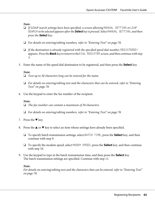- ❏ *If LDAP search settings have been specified, a screen allowing* MANUAL SETTING *or* LDAP SEARCH *to be selected appears after the* **Select** *key is pressed. Select* MANUAL SETTING*, and then press the* **Select** *key.*
- ❏ *For details on entering/editing numbers, refer to ["Entering Text" on page 78.](#page-77-0)*
- ❏ *If the destination is already registered with the specified speed dial number,* REGISTERED! *appears. Press the* **Back** *key to return to the* DIAL REGISTER *screen, and then continue with step 3.*
- 5. Enter the name of the speed dial destination to be registered, and then press the **Select** key.

#### *Note:*

- ❏ *Text up to 20 characters long can be entered for the name.*
- ❏ *For details on entering/editing text and the characters that can be entered, refer to ["Entering](#page-77-0) [Text" on page 78](#page-77-0).*
- 6. Use the keypad to enter the fax number of the recipient.

#### *Note:*

- ❏ *The fax number can contain a maximum of 50 characters.*
- ❏ *For details on entering/editing numbers, refer to ["Entering Text" on page 78.](#page-77-0)*
- 7. Press the  $\nabla$  key.
- 8. Press the  $\blacktriangle$  or  $\nabla$  key to select an item whose settings have already been specified.
	- ❏ To specify batch transmission settings, select BATCH TIME, press the **Select** key, and then continue with step 9.
	- ❏ To specify the modem speed, select MODEM SPEED, press the **Select** key, and then continue with step 10.
- 9. Use the keypad to type in the batch transmission time, and then press the **Select** key. The batch transmission settings are specified. Continue with step 11.

#### *Note:*

*For details on entering/editing text and the characters that can be entered, refer to ["Entering Text"](#page-77-0) [on page 78](#page-77-0).*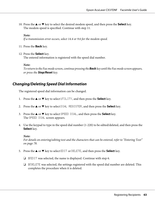10. Press the  $\blacktriangle$  or  $\nabla$  key to select the desired modem speed, and then press the **Select** key. The modem speed is specified. Continue with step 11.

#### *Note:*

*If a transmission error occurs, select 14.4 or 9.6 for the modem speed.*

11. Press the **Back** key.

#### 12. Press the **Select** key.

The entered information is registered with the speed dial number.

#### *Note:*

*To return to the Fax mode screen, continue pressing the* **Back** *key until the Fax mode screen appears, or press the* **Stop/Reset** *key.*

### **Changing/Deleting Speed Dial Information**

The registered speed dial information can be changed.

- 1. Press the  $\triangle$  or  $\nabla$  key to select UTILITY, and then press the **Select** key.
- 2. Press the  $\blacktriangle$  or  $\nabla$  key to select DIAL REGISTER, and then press the **Select** key.
- 3. Press the  $\triangle$  or  $\nabla$  key to select SPEED DIAL, and then press the **Select** key. The SPEED DIAL screen appears.
- 4. Use the keypad to type in the speed dial number (1-220) to be edited/deleted, and then press the **Select** key.

*Note:*

*For details on entering/editing text and the characters that can be entered, refer to ["Entering Text"](#page-77-0) [on page 78](#page-77-0).*

- 5. Press the  $\triangle$  or  $\nabla$  key to select EDIT or DELETE, and then press the **Select** key.
	- ❏ If EDIT was selected, the name is displayed. Continue with step 6.
	- ❏ If DELETE was selected, the settings registered with the speed dial number are deleted. This completes the procedure when it is deleted.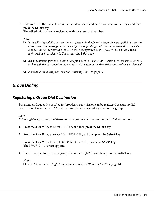<span id="page-63-0"></span>6. If desired, edit the name, fax number, modem speed and batch transmission settings, and then press the **Select** key.

The edited information is registered with the speed dial number.

### *Note:*

- ❏ *If the edited speed dial destination is registered in the favorite list, with a group dial destination or as forwarding settings, a message appears, requesting confirmation to leave the edited speed dial destination registered as it is. To leave it registered as it is, select* YES*. To not leave it registered as it is, select* NO*. Then, press the* **Select** *key.*
- ❏ *If a document is queued in the memory for a batch transmission and the batch transmission time is changed, the document in the memory will be sent at the time before the setting was changed.*
- ❏ *For details on editing text, refer to ["Entering Text" on page 78.](#page-77-0)*

### **Group Dialing**

### **Registering a Group Dial Destination**

Fax numbers frequently specified for broadcast transmission can be registered as a group dial destination. A maximum of 50 destinations can be registered together as one group.

### *Note:*

*Before registering a group dial destination, register the destinations as speed dial destinations.*

- 1. Press the  $\triangle$  or  $\nabla$  key to select UTILITY, and then press the **Select** key.
- 2. Press the  $\blacktriangle$  or  $\nabla$  key to select DIAL REGISTER, and then press the **Select** key.
- 3. Press the  $\blacktriangle$  or  $\nabla$  key to select GROUP DIAL, and then press the **Select** key. The GROUP DIAL screen appears.
- 4. Use the keypad to type in the group dial number (1-20), and then press the **Select** key.

#### *Note:*

❏ *For details on entering/editing numbers, refer to ["Entering Text" on page 78.](#page-77-0)*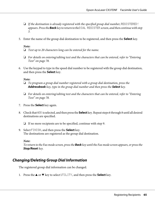- ❏ *If the destination is already registered with the specified group dial number,* REGISTERED! *appears. Press the* **Back** *key to return to the* DIAL REGISTER *screen, and then continue with step 3.*
- 5. Enter the name of the group dial destination to be registered, and then press the **Select** key.

- ❏ *Text up to 20 characters long can be entered for the name.*
- ❏ *For details on entering/editing text and the characters that can be entered, refer to ["Entering](#page-77-0) [Text" on page 78](#page-77-0).*
- 6. Use the keypad to type in the speed dial number to be registered with the group dial destination, and then press the **Select** key.

#### *Note:*

- ❏ *To program a group dial number registered with a group dial destination, press the* **Addressbook** *key, type in the group dial number and then press the* **Select** *key.*
- ❏ *For details on entering/editing text and the characters that can be entered, refer to ["Entering](#page-77-0) [Text" on page 78](#page-77-0).*
- 7. Press the **Select** key again.
- 8. Check that ADD is selected, and then press the **Select** key. Repeat steps 6 through 8 until all desired destinations are specified.
	- ❏ If no more recipients are to be specified, continue with step 9.
- 9. Select FINISH, and then press the **Select** key. The destinations are registered as the group dial destination.

#### *Note:*

*To return to the Fax mode screen, press the* **Back** *key until the Fax mode screen appears, or press the* **Stop/Reset** *key.*

### **Changing/Deleting Group Dial Information**

The registered group dial information can be changed.

1. Press the  $\triangle$  or  $\nabla$  key to select UTILITY, and then press the **Select** key.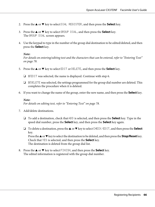- 2. Press the  $\triangle$  or  $\nabla$  key to select DIAL REGISTER, and then press the **Select** key.
- 3. Press the  $\blacktriangle$  or  $\nabla$  key to select GROUP DIAL, and then press the **Select** key. The GROUP DIAL screen appears.
- 4. Use the keypad to type in the number of the group dial destination to be edited/deleted, and then press the **Select** key.

*For details on entering/editing text and the characters that can be entered, refer to ["Entering Text"](#page-77-0) [on page 78](#page-77-0).*

- 5. Press the  $\blacktriangle$  or  $\nabla$  key to select EDIT or DELETE, and then press the **Select** key.
	- ❏ If EDIT was selected, the name is displayed. Continue with step 6.
	- $\Box$  If DELETE was selected, the settings programmed for the group dial number are deleted. This completes the procedure when it is deleted.
- 6. If you want to change the name of the group, enter the new name, and then press the **Select** key.

#### *Note:*

*For details on editing text, refer to ["Entering Text" on page 78.](#page-77-0)*

- 7. Add/delete destinations.
	- ❏ To add a destination, check that ADD is selected, and then press the **Select** key. Type in the speed dial number, press the **Select** key, and then press the **Select** key again.
	- ❏ To delete a destination, press the u or d key to select CHECK/EDIT, and then press the **Select** key.

Press the  $\blacktriangle$  or  $\nabla$  key to select the destination to be deleted, and then press the **Stop/Reset** key. Check that YES is selected, and then press the **Select** key. The destination is deleted from the group dial list.

8. Press the  $\blacktriangle$  or  $\nabla$  key to select FINISH, and then press the **Select** key. The edited information is registered with the group dial number.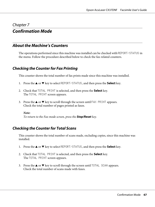### Chapter 7

## **Confirmation Mode**

### **About the Machine's Counters**

The operations performed since this machine was installed can be checked with REPORT/STATUS in the menu. Follow the procedure described below to check the fax-related counters.

### **Checking the Counter for Fax Printing**

This counter shows the total number of fax prints made since this machine was installed.

- 1. Press the  $\blacktriangle$  or  $\nabla$  key to select REPORT/STATUS, and then press the **Select** key.
- 2. Check that TOTAL PRINT is selected, and then press the **Select** key. The TOTAL PRINT screen appears.
- 3. Press the  $\blacktriangle$  or  $\nabla$  key to scroll through the screen until FAX PRINT appears. Check the total number of pages printed as faxes.

#### *Note:*

*To return to the Fax mode screen, press the* **Stop/Reset** *key.*

### **Checking the Counter for Total Scans**

This counter shows the total number of scans made, excluding copies, since this machine was installed.

- 1. Press the  $\blacktriangle$  or  $\nabla$  key to select REPORT/STATUS, and then press the **Select** key.
- 2. Check that TOTAL PRINT is selected, and then press the **Select** key. The TOTAL PRINT screen appears.
- 3. Press the  $\blacktriangle$  or  $\nabla$  key to scroll through the screen until TOTAL SCAN appears. Check the total number of scans made with faxes.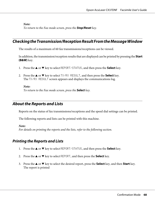*To return to the Fax mode screen, press the* **Stop/Reset** *key.*

## **Checking the Transmission/Reception Result From the Message Window**

The results of a maximum of 60 fax transmissions/receptions can be viewed.

In addition, the transmission/reception results that are displayed can be printed by pressing the **Start (B&W)** key.

- 1. Press the  $\triangle$  or  $\nabla$  key to select REPORT/STATUS, and then press the **Select** key.
- 2. Press the  $\blacktriangle$  or  $\nabla$  key to select TX/RX RESULT, and then press the **Select** key. The TX/RX RESULT screen appears and displays the communications log.

*Note:*

*To return to the Fax mode screen, press the* **Select** *key.*

## **About the Reports and Lists**

Reports on the status of fax transmissions/receptions and the speed dial settings can be printed.

The following reports and lists can be printed with this machine.

*Note:*

*For details on printing the reports and the lists, refer to the following section.*

### **Printing the Reports and Lists**

- 1. Press the  $\blacktriangle$  or  $\nabla$  key to select REPORT/STATUS, and then press the **Select** key.
- 2. Press the  $\triangle$  or  $\nabla$  key to select REPORT, and then press the **Select** key.
- 3. Press the  $\triangle$  or  $\nabla$  key to select the desired report, press the **Select** key, and then **Start** key. The report is printed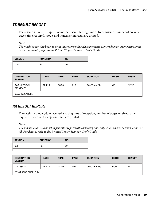### **TX RESULT REPORT**

The session number, recipient name, date sent, starting time of transmission, number of document pages, time required, mode, and transmission result are printed.

### *Note:*

*The machine can also be set to print this report with each transmission, only when an error occurs, or not at all. For details, refer to the Printer/Copier/Scanner User's Guide.*

| 0001<br>001<br>тх | <b>SESSION</b> | <b>FUNCTION</b> | NO. |
|-------------------|----------------|-----------------|-----|
|                   |                |                 |     |

| <b>DESTINATION</b><br><b>STATION</b> | <b>DATE</b> | <b>TIME</b> | <b>PAGE</b> | <b>DURATION</b> | <b>MODE</b>    | <b>RESULT</b> |
|--------------------------------------|-------------|-------------|-------------|-----------------|----------------|---------------|
| AAA NEWYORK<br>012345678             | APR.19      | 18:00       | 010         | 00h02min21s     | G <sub>3</sub> | <b>STOP</b>   |
| 00A0: TX CANCEL                      |             |             |             |                 |                |               |

### **RX RESULT REPORT**

The session number, date received, starting time of reception, number of pages received, time required, mode, and reception result are printed.

### *Note:*

*The machine can also be set to print this report with each reception, only when an error occurs, or not at all. For details, refer to the Printer/Copier/Scanner User's Guide.*

| <b>SESSION</b> | <b>FUNCTION</b> | NO. |
|----------------|-----------------|-----|
| 0001           | RX              | 001 |
|                |                 |     |

| <b>DESTINATION</b><br><b>STATION</b> | <b>DATE</b> | <b>TIME</b> | <b>PAGE</b> | <b>DURATION</b> | <b>MODE</b> | <b>RESULT</b> |
|--------------------------------------|-------------|-------------|-------------|-----------------|-------------|---------------|
| 098765432                            | APR.19      | 18:00       | 001         | 00h02min21s     | <b>ECM</b>  | NG            |
| 0014:ERROR DURING RX                 |             |             |             |                 |             |               |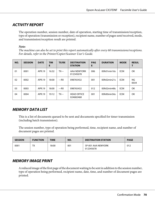## **ACTIVITY REPORT**

The operation number, session number, date of operation, starting time of transmission/reception, type of operation (transmission or reception), recipient name, number of pages sent/received, mode, and transmission/reception result are printed.

### *Note:*

*The machine can also be set to print this report automatically after every 60 transmissions/receptions. For details, refer to the Printer/Copier/Scanner User's Guide.*

| NO. | <b>SESSION</b> | <b>DATE</b> | <b>TIM</b><br>E | <b>TX/RX</b> | <b>DESTINATION</b><br><b>STATION</b> | <b>PAG</b><br>Е | <b>DURATION</b> | <b>MODE</b> | <b>RESUL</b> |
|-----|----------------|-------------|-----------------|--------------|--------------------------------------|-----------------|-----------------|-------------|--------------|
| 01  | 0001           | APR.19      | 16:32           | $TX--$       | AAA NEWYORK<br>012345678             | 006             | 00h01min16s     | <b>ECM</b>  | OK           |
| 02  | 0002           | APR.19      | 18:00           | $--RX$       | 098765432                            | 001             | 00h02min21s     | <b>ECM</b>  | NG<br>0034   |
| 03  | 0003           | APR.19      | 18:00           | $--RX$       | 098765432                            | 012             | 00h02min48s     | <b>ECM</b>  | OK           |
| 04  | 0004           | APR.19      | 19:12           | $TX--$       | <b>HEAD OFFICE</b><br>024682468      | 001             | 00h00min56s     | <b>ECM</b>  | OK           |

## **MEMORY DATA LIST**

This is a list of documents queued to be sent and documents specified for timer transmission (including batch transmission).

The session number, type of operation being performed, time, recipient name, and number of document pages are printed.

| <b>SESSION</b> | <b>FUNCTION</b> | <b>TIME</b> | NO. | <b>DESTINATION STATION</b>      | <b>PAGE</b> |
|----------------|-----------------|-------------|-----|---------------------------------|-------------|
| 0001           | тv<br>^ י       | 18:00       | 001 | SP-001 AAA NEWYORK<br>012345678 | 012         |

### **MEMORY IMAGE PRINT**

A reduced image of the first page of the document waiting to be sent in addition to the session number, type of operation being performed, recipient name, date, time, and number of document pages are printed.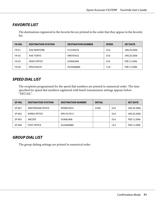### **FAVORITE LIST**

The destinations registered in the favorite list are printed in the order that they appear in the favorite list.

| FA-NO.       | <b>DESTINATION STATION</b> | <b>DESTINATION NUMBER</b> | <b>SPEED</b> | <b>SET DATE</b> |
|--------------|----------------------------|---------------------------|--------------|-----------------|
| <b>FA-01</b> | AAA NEWYORK                | 012345678                 | 33.6         | JAN.20.2006     |
| FA-02        | AAA TOKYO                  | 098765432                 | 33.6         | JAN.20.2006     |
| FA-03        | <b>HEAD OFFICE</b>         | 024682468                 | 33.6         | FEB.12.2006     |
| FA-04        | 0P02345678                 | 0224466880                | 12.8         | FEB.12.2006     |

### **SPEED DIAL LIST**

The recipients programmed for the speed dial numbers are printed in numerical order. The time specified for speed dial numbers registered with batch transmission settings appears below "DETAIL".

| SP-NO. | <b>DESTINATION STATION</b> | <b>DESTINATION NUMBER</b> | <b>DETAIL</b> |      | <b>SET DATE</b> |
|--------|----------------------------|---------------------------|---------------|------|-----------------|
| SP-001 | AMSTERDAM OFFICE           | 0P09876543                | 23:00         | 33.6 | JAN.20.2006     |
| SP-002 | <b>KOREA OFFICE</b>        | 0P01357913                |               | 33.6 | JAN.20.2006     |
| SP-003 | <b>ABCDEF</b>              | 024682468                 |               | 33.6 | FEB.12.2006     |
| SP-004 | <b>POST OFFICE</b>         | 0224466880                |               | 14.4 | FEB.12.2006     |

### **GROUP DIAL LIST**

The group dialing settings are printed in numerical order.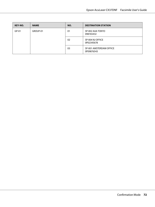| KEY-NO. | <b>NAME</b> | NO. | <b>DESTINATION STATION</b>            |
|---------|-------------|-----|---------------------------------------|
| $GP-01$ | GROUP-01    | 01  | SP-002 AAA TOKYO<br>098765432         |
|         |             | 02  | SP-004 NJ OFFICE<br>0P02345678        |
|         |             | 03  | SP-001 AMSTERDAM OFFICE<br>0P09876543 |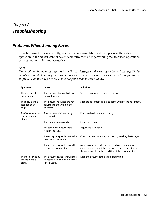## <span id="page-72-0"></span>Chapter 8

# **Troubleshooting**

## **Problems When Sending Faxes**

If the fax cannot be sent correctly, refer to the following table, and then perform the indicated operation. If the fax still cannot be sent correctly, even after performing the described operations, contact your technical representative.

#### *Note:*

*For details on the error messages, refer to ["Error Messages on the Message Window" on page 75.](#page-74-0) For details on troubleshooting procedures for document misfeeds, paper misfeeds, poor print quality, or empty consumables, refer to the Printer/Copier/Scanner User's Guide.*

| Symptom                                           | Cause                                                                               | <b>Solution</b>                                                                                                                                                                |
|---------------------------------------------------|-------------------------------------------------------------------------------------|--------------------------------------------------------------------------------------------------------------------------------------------------------------------------------|
| The document is<br>not scanned.                   | The document is too thick, too<br>thin or too small.                                | Use the original glass to send the fax.                                                                                                                                        |
| The document is<br>scanned at an<br>angle.        | The document guides are not<br>adjusted to the width of the<br>document.            | Slide the document guides to fit the width of the document.                                                                                                                    |
| The fax received by<br>the recipient is           | The document is incorrectly<br>positioned.                                          | Position the document correctly.                                                                                                                                               |
| blurry.                                           | The original glass is dirty.                                                        | Clean the original glass.                                                                                                                                                      |
|                                                   | The text in the document is<br>written too faint.                                   | Adjust the resolution.                                                                                                                                                         |
|                                                   | There may be a problem with the<br>telephone connection.                            | Check the telephone line, and then try sending the fax again.                                                                                                                  |
|                                                   | There may be a problem with the<br>recipient's fax machine.                         | Make a copy to check that this machine is operating<br>correctly, and then, if the copy was printed correctly, have<br>the recipient check the condition of their fax machine. |
| The fax received by<br>the recipient is<br>blank. | The document was sent with the<br>front side facing down (when the<br>ADF is used). | Load the document to be faxed facing up.                                                                                                                                       |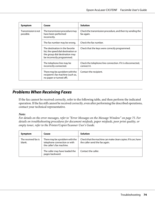<span id="page-73-0"></span>

| Symptom                          | Cause                                                                                                                                  | <b>Solution</b>                                                            |
|----------------------------------|----------------------------------------------------------------------------------------------------------------------------------------|----------------------------------------------------------------------------|
| Transmission is not<br>possible. | The transmission procedure may<br>have been performed<br>incorrectly.                                                                  | Check the transmission procedure, and then try sending the<br>fax again.   |
|                                  | The fax number may be wrong.                                                                                                           | Check the fax number.                                                      |
|                                  | The destination in the favorite<br>list, the speed dial destination or<br>the group dial destination may<br>be incorrectly programmed. | Check that the keys were correctly programmed.                             |
|                                  | The telephone line may be<br>incorrectly connected.                                                                                    | Check the telephone line connection. If it is disconnected,<br>connect it. |
|                                  | There may be a problem with the<br>recipient's fax machine (such as,<br>no paper or turned off).                                       | Contact the recipient.                                                     |

# **Problems When Receiving Faxes**

If the fax cannot be received correctly, refer to the following table, and then perform the indicated operation. If the fax still cannot be received correctly, even after performing the described operations, contact your technical representative.

#### *Note:*

*For details on the error messages, refer to ["Error Messages on the Message Window" on page 75.](#page-74-0) For details on troubleshooting procedures for document misfeeds, paper misfeeds, poor print quality, or empty toner, refer to the Printer/Copier/Scanner User's Guide.*

| Symptom                       | Cause                                                                                        | <b>Solution</b>                                                                                 |
|-------------------------------|----------------------------------------------------------------------------------------------|-------------------------------------------------------------------------------------------------|
| The received fax is<br>blank. | There may be a problem with the<br>telephone connection or with<br>the caller's fax machine. | Check that the machine can make clean copies. If it can, have<br>the caller send the fax again. |
|                               | The caller may have loaded the<br>pages backward.                                            | Contact the caller.                                                                             |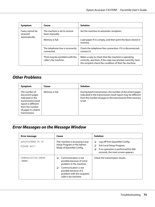<span id="page-74-0"></span>

| Symptom                     | Cause                                                    | <b>Solution</b>                                                                                                                                                                |
|-----------------------------|----------------------------------------------------------|--------------------------------------------------------------------------------------------------------------------------------------------------------------------------------|
| Faxes cannot be<br>received | The machine is set to receive<br>faxes manually.         | Set the machine to automatic reception.                                                                                                                                        |
| automatically.              | Memory is full.                                          | Load paper if it is empty, and then print the faxes stored in<br>memory.                                                                                                       |
|                             | The telephone line is incorrectly<br>connected.          | Check the telephone line connection. If it is disconnected,<br>connect it.                                                                                                     |
|                             | There may be a problem with the<br>caller's fax machine. | Make a copy to check that this machine is operating<br>correctly, and then, if the copy was printed correctly, have<br>the recipient check the condition of their fax machine. |

# **Other Problems**

| Symptom                                                                                                                                                      | Cause           | <b>Solution</b>                                                                                                                                                                                   |
|--------------------------------------------------------------------------------------------------------------------------------------------------------------|-----------------|---------------------------------------------------------------------------------------------------------------------------------------------------------------------------------------------------|
| The number of<br>document pages<br>indicated in the<br>transmission result<br>report is different<br>from the number<br>of pages in a batch<br>transmission. | Memory is full. | During batch transmission, the number of document pages<br>indicated in the transmission result report may be different<br>from the number of pages in the transmission if the memory<br>is full. |

# **Error Messages on the Message Window**

| <b>Error message</b>                                                                                        | Cause                                                                                                      | <b>Solution</b>                                                                                                                                        |  |
|-------------------------------------------------------------------------------------------------------------|------------------------------------------------------------------------------------------------------------|--------------------------------------------------------------------------------------------------------------------------------------------------------|--|
| ADMINISTERED BY PC<br>PLEASE WAIT!                                                                          | This machine is accessing Local<br>Setup Program or the Admin.<br>Mode of EpsonNet Config.                 | Log off from EpsonNet Config.<br>❏<br>Exit Local Setup Program.<br>❏<br>If no operation is performed for 600<br>❏<br>seconds, the main screen appears. |  |
| Communication is not<br>COMMUNICATION ERROR<br>possible because of some<br>(井井井)<br>problem in the machine. |                                                                                                            | Check the transmission results.                                                                                                                        |  |
|                                                                                                             | Communication is not<br>⊔<br>possible because of a<br>problem with the recipient/<br>caller's fax machine. |                                                                                                                                                        |  |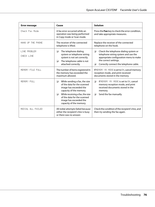| <b>Error message</b>              | Cause                                                                                                                                                                                                                   | <b>Solution</b>                                                                                                                                                                                     |  |
|-----------------------------------|-------------------------------------------------------------------------------------------------------------------------------------------------------------------------------------------------------------------------|-----------------------------------------------------------------------------------------------------------------------------------------------------------------------------------------------------|--|
| Check Fax Mode                    | A fax error occurred while an<br>operation was being performed<br>in Copy mode or Scan mode.                                                                                                                            | Press the Fax key to check the error condition,<br>and take appropriate measures.                                                                                                                   |  |
| HANG UP THE PHONE                 | The receiver of the connected<br>telephone is lifted.                                                                                                                                                                   | Replace the receiver of the connected<br>telephone on the hook.                                                                                                                                     |  |
| LINE PROBLEM<br><b>CHECK LINE</b> | ❏<br>The telephone dialing<br>system or telephone wiring<br>system is not set correctly.<br>The telephone cable is not<br>❏<br>attached correctly.                                                                      | ❏<br>Check the telephone dialing system or<br>telephone wiring system and use the<br>appropriate configuration menu to make<br>the correct settings.<br>Correctly connect the telephone cable.<br>◘ |  |
| MEMORY FILE FULL                  | The number of items registered in<br>the memory has exceeded the<br>maximum allowed.                                                                                                                                    | IfMEMORY RX MODE is set to ON, cancel memory<br>reception mode, and print received<br>documents stored in the memory.                                                                               |  |
| MEMORY FULL                       | ❏<br>While sending a fax, the size<br>of the data for the scanned<br>image has exceeded the<br>capacity of the memory.<br>While receiving a fax, the size<br>◘<br>of the data for the scanned<br>image has exceeded the | If MEMORY RX MODE is set to ON, cancel<br>□<br>memory reception mode, and print<br>received documents stored in the<br>memory.<br>Send the fax manually.<br>❏                                       |  |
| REDIAL ALL FAILED                 | capacity of the memory.<br>All redial attempts failed because<br>either the recipient's line is busy<br>or there was no answer.                                                                                         | Check the condition of the recipient's line, and<br>then try sending the fax again.                                                                                                                 |  |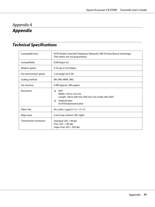# <span id="page-76-0"></span>Appendix A **Appendix**

# **Technical Specifications**

| Compatible lines        | PSTN (Public Switched Telephone Network), PBX (Private Branch eXchange)<br>(The others are not guaranteed.)                                          |
|-------------------------|------------------------------------------------------------------------------------------------------------------------------------------------------|
| Compatibility           | ECM/Super G3                                                                                                                                         |
| Modem speed             | V.34 (up to 33.6 Kbps)                                                                                                                               |
| Fax transmission speed  | 3 sec/page (at V.34)                                                                                                                                 |
| Coding method           | MH, MR, MMR, JBIG                                                                                                                                    |
| Fax memory              | 6 MB (approx. 384 pages)                                                                                                                             |
| Document                | <b>ADF</b><br>❏<br>Width: 140 to 216 mm<br>Length: 148 to 500 mm (500 mm: Fax mode with ADF)<br><b>Original Glass</b><br>❏<br>A5/A4/Statement/Letter |
| Paper size              | A4, Letter, Legal, $8 \frac{1}{2} \times 13 \frac{1}{2}$                                                                                             |
| Edge erase              | 4 mm (top, bottom, left, right)                                                                                                                      |
| Transmission resolution | Standard: 203 × 98 dpi<br>Fine: $203 \times 196$ dpi<br>Super Fine: $203 \times 392$ dpi                                                             |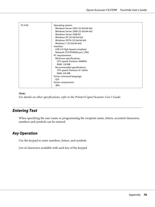<span id="page-77-0"></span>

| <b>PC-FAX</b> | Operating system:<br>Windows Server 2003 (32-bit/64-bit)<br>Windows Server 2008 (32-bit/64-bit)<br>Windows Server 2008 R2<br>Windows XP (32-bit/64-bit)<br>Windows VISTA (32-bit/64-bit)<br>Windows 7 (32-bit/64-bit)<br>Interface:<br>USB 2.0 High Speed compliant<br>Network (TCP/IP(RAW port, LPR))<br>PC requirements:<br>Minimum specifications:<br>CPU speed: Pentium 200MHz<br><b>RAM: 128 MB</b><br>Recommended specifications:<br>CPU speed: Pentium 4/1.6GHz<br><b>RAM: 256 MB</b><br>Driver command language:<br>GDI<br>Driver compression: |
|---------------|--------------------------------------------------------------------------------------------------------------------------------------------------------------------------------------------------------------------------------------------------------------------------------------------------------------------------------------------------------------------------------------------------------------------------------------------------------------------------------------------------------------------------------------------------------|
|               | <b>JBIG</b>                                                                                                                                                                                                                                                                                                                                                                                                                                                                                                                                            |

#### *Note:*

*For details on other specifications, refer to the Printer/Copier/Scanner User's Guide.*

# **Entering Text**

When specifying the user name or programming the recipient name, letters, accented characters, numbers and symbols can be entered.

#### **Key Operation**

Use the keypad to enter numbers, letters, and symbols.

List of characters available with each key of the keypad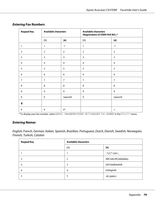| <b>Keypad Key</b> | <b>Available characters</b> |                  | <b>Available characters</b><br>(Registration of USER FAX NO.) * |                |
|-------------------|-----------------------------|------------------|-----------------------------------------------------------------|----------------|
|                   | $[1]$                       | [A]              | $[1]$                                                           | [A]            |
| $\mathbf{1}$      | 1                           | $-1$             | $\mathbf{1}$                                                    | $-1$           |
| $\overline{2}$    | $\overline{2}$              | $\overline{2}$   | $\overline{2}$                                                  | $\overline{2}$ |
| $\overline{3}$    | 3                           | 3                | $\overline{3}$                                                  | 3              |
| 4                 | $\overline{a}$              | 4                | 4                                                               | 4              |
| 5                 | 5                           | 5                | 5                                                               | 5              |
| 6                 | $\boldsymbol{6}$            | $\boldsymbol{6}$ | $\boldsymbol{6}$                                                | 6              |
| $\overline{7}$    | $\overline{7}$              | $\overline{7}$   | $\overline{7}$                                                  | $\overline{7}$ |
| 8                 | 8                           | $\,8\,$          | 8                                                               | 8              |
| 9                 | 9                           | 9                | 9                                                               | 9              |
| $\mathbf 0$       | $\mathbf 0$                 | (space)0         | $\mathbf 0$                                                     | (space)0       |
| $\star$           |                             |                  |                                                                 |                |
| $\#$              | $\#$                        | $#$ *            |                                                                 | $+$            |

#### **Entering Fax Numbers**

\* To display your fax number, select ADMIN. MANAGEMENT/USER SETTING/USER FAX NUMBER in the UTILITY menu.

#### **Entering Names**

English, French, German, Italian, Spanish, Brazilian, Portuguese, Dutch, Danish, Swedish, Norwegian, Finnish, Turkish, Catalan

| <b>Keypad Key</b> | <b>Available characters</b> |                   |
|-------------------|-----------------------------|-------------------|
|                   | $[1]$                       | [A]               |
|                   |                             | _;'/@()-1"¡!¿?',. |
|                   | 2                           | ABC2abcÆÇàáâãäåæç |
| 3                 | 3                           | DEF3defĐèéêëð     |
| 4                 | 4                           | GHI4ghiìíï        |
|                   | 5                           | JKL5jkl€£¢        |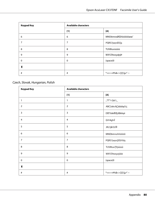| <b>Keypad Key</b> | <b>Available characters</b> |                      |
|-------------------|-----------------------------|----------------------|
|                   | $[1]$                       | [A]                  |
| 6                 | 6                           | MNO6mnoØŒñòóôõöøœ°   |
| 7                 | 7                           | PQRS7pqrsß\$Şş       |
| 8                 | 8                           | TUV8tuvùúûü          |
| 9                 | 9                           | WXYZ9wxyzþýÞ         |
| $\mathbf 0$       | $\mathbf 0$                 | (space)0             |
| $\star$           |                             |                      |
| $\#$              | #                           | *+x÷=#%&<>[]{}\ µ^`~ |

#### Czech, Slovak, Hungarian, Polish

| <b>Keypad Key</b> | <b>Available characters</b> |                      |
|-------------------|-----------------------------|----------------------|
|                   | $[1]$                       | [A]                  |
| $\mathbf{1}$      | 1                           | .,'?!"1-()@/:;_      |
| $\overline{2}$    | $\overline{2}$              | ABC2abcĄÇáâäăąčćç    |
| 3                 | 3                           | DEF3defĐĘďđéěęë      |
| 4                 | $\overline{4}$              | GHI4ghil             |
| 5                 | 5                           | <b>JKL5jklLŁlÍł</b>  |
| 6                 | 6                           | MNO6mnoňńóôöő        |
| $\overline{7}$    | $\overline{7}$              | PQRS7pqrsŞß\$řŕšśş   |
| 8                 | 8                           | TUV8tuvŢťţúůüű       |
| 9                 | 9                           | WXYZ9wxyzýžźż        |
| $\mathbf 0$       | $\pmb{0}$                   | (space)0             |
| Ж                 |                             |                      |
| $\#$              | $\#$                        | *+x÷=#%&<>[]{}\ µ^`~ |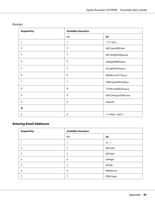| <b>Keypad Key</b>       | <b>Available characters</b> |                        |
|-------------------------|-----------------------------|------------------------|
|                         | $[1]$                       | [A]                    |
| $\mathbf{1}$            | 1                           | $\cdot$ ,'?!"1-()@/:;_ |
| $\overline{2}$          | $\overline{2}$              | ABC2abcAБВГабвг        |
| $\overline{\mathbf{3}}$ | 3                           | DEF3defДЕЖЗЁдежзё      |
| $\overline{4}$          | $\overline{4}$              | GHI4ghiИЙКЛийкл        |
| 5                       | 5                           | JKL5jklMHOПмноп        |
| 6                       | 6                           | MNO6mnoPCTYpcTy        |
| $\overline{7}$          | $\overline{7}$              | PQRS7pqrsФХЦЧфхцч      |
| 8                       | 8                           | TUV8tuvШЩЪЫшщъы        |
| 9                       | 9                           | WXYZ9wxyzbЭЮЯьэюя      |
| $\mathbf 0$             | $\mathbf 0$                 | (space)0               |
| $\star$                 |                             |                        |
| $\#$                    | $\#$                        | *+=#%&<>[]{}\ ^`~      |

#### Russian

## **Entering Email Addresses**

| <b>Keypad Key</b> | <b>Available characters</b> |           |
|-------------------|-----------------------------|-----------|
|                   | $[1]$                       | [A]       |
|                   |                             | $.@_{-}1$ |
| 2                 | $\overline{2}$              | ABC2abc   |
| 3                 | 3                           | DEF3def   |
| 4                 | $\overline{4}$              | GHI4ghi   |
| 5                 | 5                           | JKL5jkl   |
| 6                 | 6                           | MNO6mno   |
| 7                 | 7                           | PQRS7pqrs |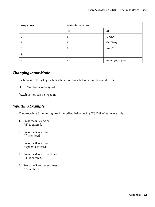<span id="page-81-0"></span>

| <b>Keypad Key</b> | <b>Available characters</b> |                         |
|-------------------|-----------------------------|-------------------------|
|                   | $[1]$                       | [A]                     |
| 8                 | 8                           | TUV8tuv                 |
| 9                 | 9                           | WXYZ9wxyz               |
| $\Omega$          | $\mathbf 0$                 | (space)0                |
| Х                 |                             |                         |
| #                 | #                           | +&/*=!?()%[]^`'{} ~\$,: |

#### **Changing Input Mode**

Each press of the  $\boldsymbol{\mathsf{\mathsf{g}}}$  key switches the input mode between numbers and letters.

- [1…]: Numbers can be typed in.
- [A…]: Letters can be typed in.

#### **Inputting Example**

The procedure for entering text is described below, using "NJ Office" as an example.

- 1. Press the **6** key twice. "N" is entered.
- 2. Press the **5** key once. "J" is entered.
- 3. Press the **0** key once. A space is entered.
- 4. Press the **6** key three times. "O" is entered.
- 5. Press the **3** key seven times. "f" is entered.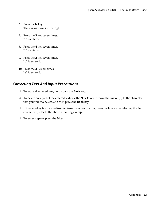- <span id="page-82-0"></span>6. Press the  $\blacktriangleright$  key. The cursor moves to the right.
- 7. Press the **3** key seven times. "f" is entered.
- 8. Press the **4** key seven times. "i" is entered.
- 9. Press the **2** key seven times. "c" is entered.
- 10. Press the **3** key six times. "e" is entered.

#### **Correcting Text And Input Precautions**

- ❏ To erase all entered text, hold down the **Back** key.
- □ To delete only part of the entered text, use the  $\blacktriangleleft$  or  $\blacktriangleright$  key to move the cursor (\_) to the character that you want to delete, and then press the **Back** key.
- ❏ If the same key is to be used to enter two characters in a row, press the r key after selecting the first character. (Refer to the above inputting example.)
- ❏ To enter a space, press the **0** key.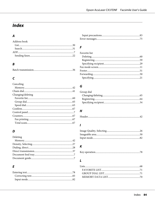# **Index**

### $\overline{A}$

#### Address book

### $\boldsymbol{B}$

|--|

#### $\mathsf{C}$

| Canceling         |  |
|-------------------|--|
|                   |  |
|                   |  |
| Changing/deleting |  |
|                   |  |
|                   |  |
|                   |  |
|                   |  |
|                   |  |
|                   |  |
|                   |  |
|                   |  |

#### $\boldsymbol{D}$

| Deleting |  |
|----------|--|
|          |  |
|          |  |
|          |  |
|          |  |
|          |  |
|          |  |

## $\overline{E}$

#### $\overline{F}$

| Favorite list |  |
|---------------|--|
|               |  |
|               |  |
|               |  |
|               |  |
|               |  |
|               |  |
|               |  |

#### $\overline{G}$

| Group dial |  |
|------------|--|
|            |  |
|            |  |
|            |  |

## $H$

#### $\mathbf{I}$

#### $\boldsymbol{K}$

## $\mathbf{L}$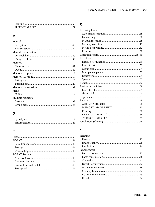### $\boldsymbol{M}$

| Manual              |  |
|---------------------|--|
|                     |  |
|                     |  |
| Manual transmission |  |
|                     |  |
|                     |  |
| Memory              |  |
|                     |  |
|                     |  |
|                     |  |
|                     |  |
|                     |  |
|                     |  |
|                     |  |
| Menu                |  |
|                     |  |
| Multiple recipients |  |
|                     |  |
|                     |  |

## $\mathbf{o}$

### $\overline{P}$

| PC-FAX Settings |  |
|-----------------|--|
|                 |  |
|                 |  |
|                 |  |
|                 |  |
|                 |  |

#### $\boldsymbol{R}$

| Receiving faxes |  |
|-----------------|--|
|                 |  |
|                 |  |
|                 |  |
|                 |  |
|                 |  |
|                 |  |
|                 |  |
| Recipients      |  |
|                 |  |
|                 |  |
|                 |  |
|                 |  |
|                 |  |
|                 |  |
|                 |  |
|                 |  |
|                 |  |
|                 |  |
|                 |  |
|                 |  |
|                 |  |
|                 |  |
|                 |  |
|                 |  |
|                 |  |
|                 |  |
|                 |  |

#### $\mathsf{S}$

| Selecting     |  |
|---------------|--|
|               |  |
|               |  |
|               |  |
| Sending faxes |  |
|               |  |
|               |  |
|               |  |
|               |  |
|               |  |
|               |  |
|               |  |
|               |  |
|               |  |